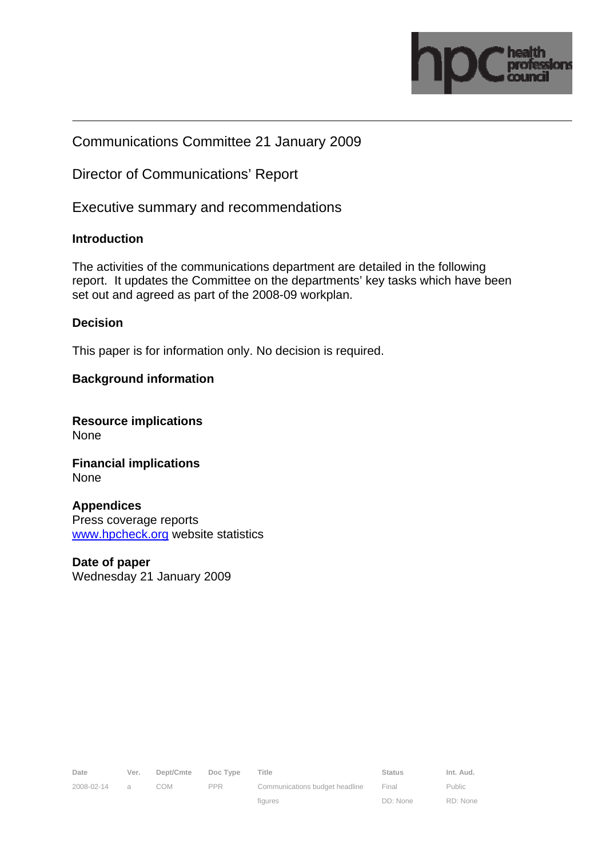

## Communications Committee 21 January 2009

Director of Communications' Report

Executive summary and recommendations

### **Introduction**

The activities of the communications department are detailed in the following report. It updates the Committee on the departments' key tasks which have been set out and agreed as part of the 2008-09 workplan.

#### **Decision**

This paper is for information only. No decision is required.

### **Background information**

**Resource implications**  None

**Financial implications**  None

**Appendices**  Press coverage reports www.hpcheck.org website statistics

**Date of paper**  Wednesday 21 January 2009

Date Ver. Dept/Cmte Doc Type Title **Status** Status Int. Aud. 2008-02-14 a COM PPR

DD: None

Public RD: None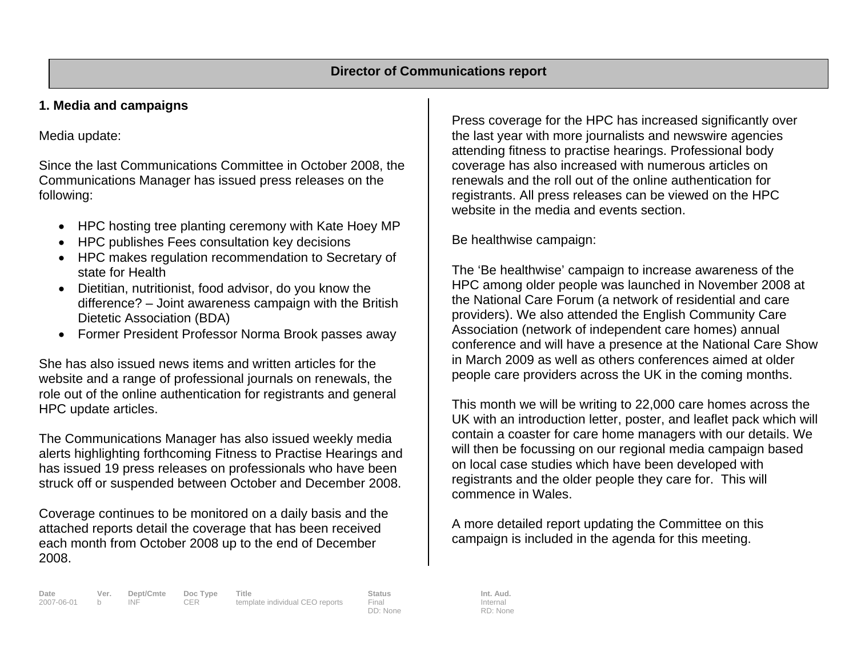## **1. Media and campaigns**

Media update:

Since the last Communications Committee in October 2008, the Communications Manager has issued press releases on the following:

- HPC hosting tree planting ceremony with Kate Hoey MP
- HPC publishes Fees consultation key decisions
- HPC makes regulation recommendation to Secretary of state for Health
- Dietitian, nutritionist, food advisor, do you know the difference? – Joint awareness campaign with the British Dietetic Association (BDA)
- Former President Professor Norma Brook passes away

She has also issued news items and written articles for the website and a range of professional journals on renewals, the role out of the online authentication for registrants and general HPC update articles.

The Communications Manager has also issued weekly media alerts highlighting forthcoming Fitness to Practise Hearings and has issued 19 press releases on professionals who have been struck off or suspended between October and December 2008.

Coverage continues to be monitored on a daily basis and the attached reports detail the coverage that has been received each month from October 2008 up to the end of December 2008.

Press coverage for the HPC has increased significantly over the last year with more journalists and newswire agencies attending fitness to practise hearings. Professional body coverage has also increased with numerous articles on renewals and the roll out of the online authentication for registrants. All press releases can be viewed on the HPC website in the media and events section.

Be healthwise campaign:

The 'Be healthwise' campaign to increase awareness of the HPC among older people was launched in November 2008 at the National Care Forum (a network of residential and care providers). We also attended the English Community Care Association (network of independent care homes) annual conference and will have a presence at the National Care Show in March 2009 as well as others conferences aimed at older people care providers across the UK in the coming months.

This month we will be writing to 22,000 care homes across the UK with an introduction letter, poster, and leaflet pack which will contain a coaster for care home managers with our details. We will then be focussing on our regional media campaign based on local case studies which have been developed with registrants and the older people they care for. This will commence in Wales.

A more detailed report updating the Committee on this campaign is included in the agenda for this meeting.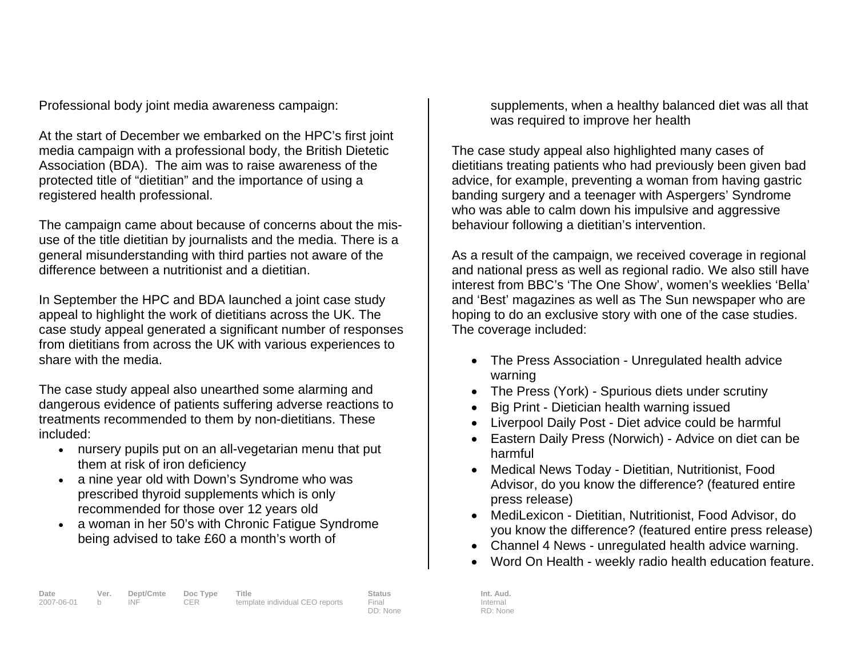Professional body joint media awareness campaign:

At the start of December we embarked on the HPC's first joint media campaign with a professional body, the British Dietetic Association (BDA). The aim was to raise awareness of the protected title of "dietitian" and the importance of using a registered health professional.

The campaign came about because of concerns about the misuse of the title dietitian by journalists and the media. There is a general misunderstanding with third parties not aware of the difference between a nutritionist and a dietitian.

In September the HPC and BDA launched a joint case study appeal to highlight the work of dietitians across the UK. The case study appeal generated a significant number of responses from dietitians from across the UK with various experiences to share with the media.

The case study appeal also unearthed some alarming and dangerous evidence of patients suffering adverse reactions to treatments recommended to them by non-dietitians. These included:

- nursery pupils put on an all-vegetarian menu that put them at risk of iron deficiency
- • a nine year old with Down's Syndrome who was prescribed thyroid supplements which is only recommended for those over 12 years old
- a woman in her 50's with Chronic Fatigue Syndrome being advised to take £60 a month's worth of

supplements, when a healthy balanced diet was all that was required to improve her health

The case study appeal also highlighted many cases of dietitians treating patients who had previously been given bad advice, for example, preventing a woman from having gastric banding surgery and a teenager with Aspergers' Syndrome who was able to calm down his impulsive and aggressive behaviour following a dietitian's intervention.

As a result of the campaign, we received coverage in regional and national press as well as regional radio. We also still have interest from BBC's 'The One Show', women's weeklies 'Bella' and 'Best' magazines as well as The Sun newspaper who are hoping to do an exclusive story with one of the case studies. The coverage included:

- The Press Association Unregulated health advice warning
- The Press (York) Spurious diets under scrutiny
- Big Print Dietician health warning issued
- Liverpool Daily Post Diet advice could be harmful
- Eastern Daily Press (Norwich) Advice on diet can be harmful
- Medical News Today Dietitian, Nutritionist, Food Advisor, do you know the difference? (featured entire press release)
- MediLexicon Dietitian, Nutritionist, Food Advisor, do you know the difference? (featured entire press release)
- Channel 4 News unregulated health advice warning.
- Word On Health weekly radio health education feature.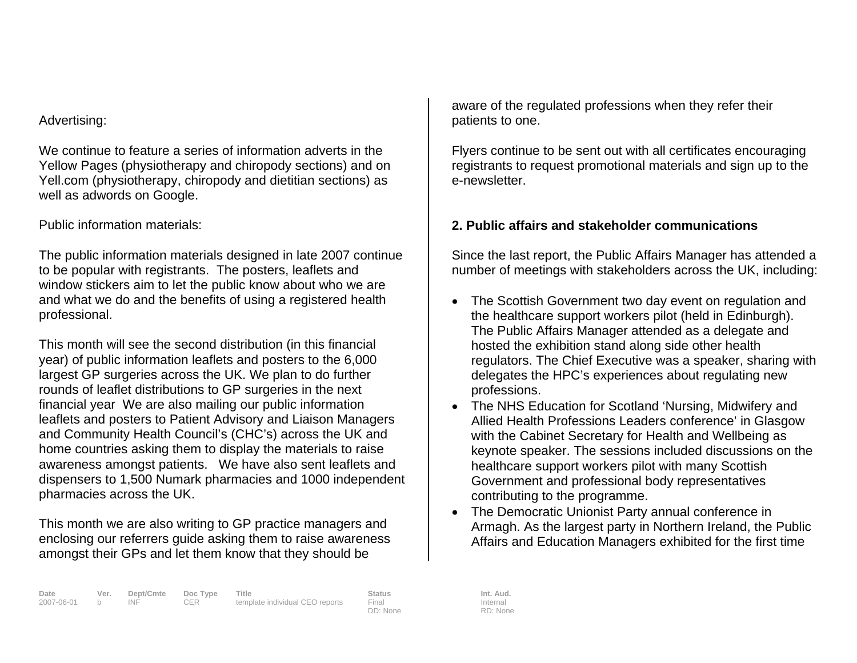#### Advertising:

We continue to feature a series of information adverts in the Yellow Pages (physiotherapy and chiropody sections) and on Yell.com (physiotherapy, chiropody and dietitian sections) as well as adwords on Google.

## Public information materials:

The public information materials designed in late 2007 continue to be popular with registrants. The posters, leaflets and window stickers aim to let the public know about who we are and what we do and the benefits of using a registered health professional.

This month will see the second distribution (in this financial year) of public information leaflets and posters to the 6,000 largest GP surgeries across the UK. We plan to do further rounds of leaflet distributions to GP surgeries in the next financial year We are also mailing our public information leaflets and posters to Patient Advisory and Liaison Managers and Community Health Council's (CHC's) across the UK and home countries asking them to display the materials to raise awareness amongst patients. We have also sent leaflets and dispensers to 1,500 Numark pharmacies and 1000 independent pharmacies across the UK.

This month we are also writing to GP practice managers and enclosing our referrers guide asking them to raise awareness amongst their GPs and let them know that they should be

aware of the regulated professions when they refer their patients to one.

Flyers continue to be sent out with all certificates encouraging registrants to request promotional materials and sign up to the e-newsletter.

## **2. Public affairs and stakeholder communications**

Since the last report, the Public Affairs Manager has attended a number of meetings with stakeholders across the UK, including:

- The Scottish Government two day event on regulation and the healthcare support workers pilot (held in Edinburgh). The Public Affairs Manager attended as a delegate and hosted the exhibition stand along side other health regulators. The Chief Executive was a speaker, sharing with delegates the HPC's experiences about regulating new professions.
- The NHS Education for Scotland 'Nursing, Midwifery and Allied Health Professions Leaders conference' in Glasgow with the Cabinet Secretary for Health and Wellbeing as keynote speaker. The sessions included discussions on the healthcare support workers pilot with many Scottish Government and professional body representatives contributing to the programme.
- The Democratic Unionist Party annual conference in Armagh. As the largest party in Northern Ireland, the Public Affairs and Education Managers exhibited for the first time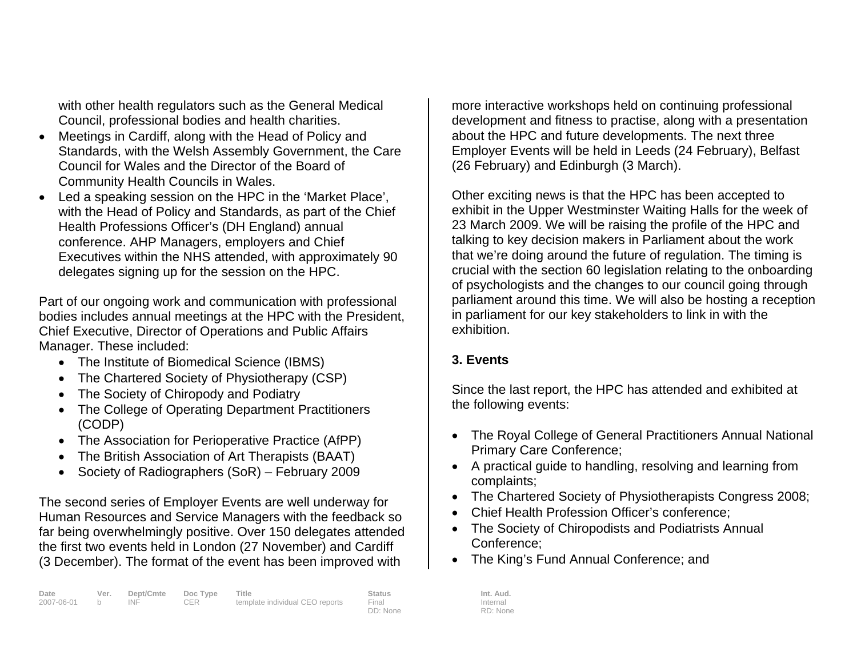with other health regulators such as the General Medical Council, professional bodies and health charities.

- Meetings in Cardiff, along with the Head of Policy and Standards, with the Welsh Assembly Government, the Care Council for Wales and the Director of the Board of Community Health Councils in Wales.
- Led a speaking session on the HPC in the 'Market Place', with the Head of Policy and Standards, as part of the Chief Health Professions Officer's (DH England) annual conference. AHP Managers, employers and Chief Executives within the NHS attended, with approximately 90 delegates signing up for the session on the HPC.

Part of our ongoing work and communication with professional bodies includes annual meetings at the HPC with the President, Chief Executive, Director of Operations and Public Affairs Manager. These included:

- The Institute of Biomedical Science (IBMS)
- The Chartered Society of Physiotherapy (CSP)
- The Society of Chiropody and Podiatry
- The College of Operating Department Practitioners (CODP)
- The Association for Perioperative Practice (AfPP)
- The British Association of Art Therapists (BAAT)
- Society of Radiographers (SoR) February 2009

The second series of Employer Events are well underway for Human Resources and Service Managers with the feedback so far being overwhelmingly positive. Over 150 delegates attended the first two events held in London (27 November) and Cardiff (3 December). The format of the event has been improved with

more interactive workshops held on continuing professional development and fitness to practise, along with a presentation about the HPC and future developments. The next three Employer Events will be held in Leeds (24 February), Belfast (26 February) and Edinburgh (3 March).

Other exciting news is that the HPC has been accepted to exhibit in the Upper Westminster Waiting Halls for the week of 23 March 2009. We will be raising the profile of the HPC and talking to key decision makers in Parliament about the work that we're doing around the future of regulation. The timing is crucial with the section 60 legislation relating to the onboarding of psychologists and the changes to our council going through parliament around this time. We will also be hosting a reception in parliament for our key stakeholders to link in with the exhibition.

## **3. Events**

Since the last report, the HPC has attended and exhibited at the following events:

- The Royal College of General Practitioners Annual National Primary Care Conference;
- A practical guide to handling, resolving and learning from complaints;
- The Chartered Society of Physiotherapists Congress 2008;
- Chief Health Profession Officer's conference;
- The Society of Chiropodists and Podiatrists Annual Conference;
- The King's Fund Annual Conference; and

Internal RD: None

DD: None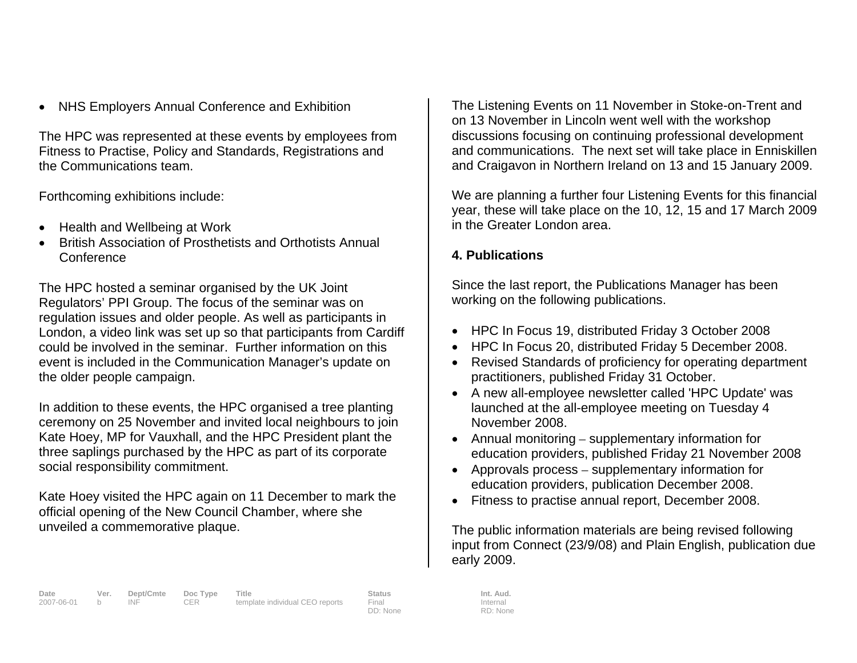• NHS Employers Annual Conference and Exhibition

The HPC was represented at these events by employees from Fitness to Practise, Policy and Standards, Registrations and the Communications team.

Forthcoming exhibitions include:

- Health and Wellbeing at Work
- British Association of Prosthetists and Orthotists Annual **Conference**

The HPC hosted a seminar organised by the UK Joint Regulators' PPI Group. The focus of the seminar was on regulation issues and older people. As well as participants in London, a video link was set up so that participants from Cardiff could be involved in the seminar. Further information on this event is included in the Communication Manager's update on the older people campaign.

In addition to these events, the HPC organised a tree planting ceremony on 25 November and invited local neighbours to join Kate Hoey, MP for Vauxhall, and the HPC President plant the three saplings purchased by the HPC as part of its corporate social responsibility commitment.

Kate Hoey visited the HPC again on 11 December to mark the official opening of the New Council Chamber, where she unveiled a commemorative plaque.

The Listening Events on 11 November in Stoke-on-Trent and on 13 November in Lincoln went well with the workshop discussions focusing on continuing professional development and communications. The next set will take place in Enniskillen and Craigavon in Northern Ireland on 13 and 15 January 2009.

We are planning a further four Listening Events for this financial year, these will take place on the 10, 12, 15 and 17 March 2009 in the Greater London area.

## **4. Publications**

Since the last report, the Publications Manager has been working on the following publications.

- HPC In Focus 19, distributed Friday 3 October 2008
- HPC In Focus 20, distributed Friday 5 December 2008.
- Revised Standards of proficiency for operating department practitioners, published Friday 31 October.
- A new all-employee newsletter called 'HPC Update' was launched at the all-employee meeting on Tuesday 4 November 2008.
- Annual monitoring supplementary information for education providers, published Friday 21 November 2008
- Approvals process supplementary information for education providers, publication December 2008.
- Fitness to practise annual report, December 2008.

The public information materials are being revised following input from Connect (23/9/08) and Plain English, publication due early 2009.

DD: None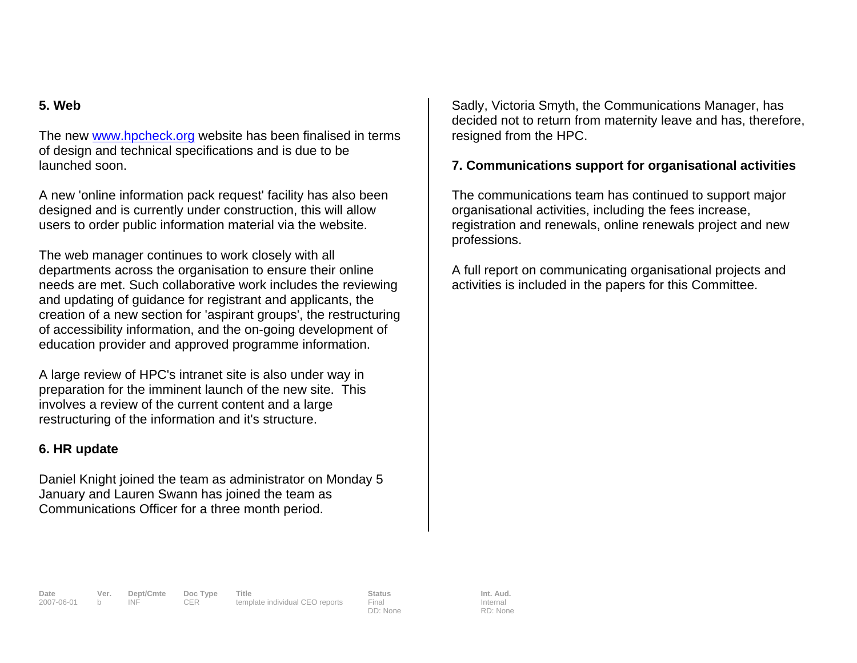## **5. Web**

The new www.hpcheck.org website has been finalised in terms of design and technical specifications and is due to be launched soon.

A new 'online information pack request' facility has also been designed and is currently under construction, this will allow users to order public information material via the website.

The web manager continues to work closely with all departments across the organisation to ensure their online needs are met. Such collaborative work includes the reviewing and updating of guidance for registrant and applicants, the creation of a new section for 'aspirant groups', the restructuring of accessibility information, and the on-going development of education provider and approved programme information.

A large review of HPC's intranet site is also under way in preparation for the imminent launch of the new site. This involves a review of the current content and a large restructuring of the information and it's structure.

### **6. HR update**

Daniel Knight joined the team as administrator on Monday 5 January and Lauren Swann has joined the team as Communications Officer for a three month period.

Sadly, Victoria Smyth, the Communications Manager, has decided not to return from maternity leave and has, therefore, resigned from the HPC.

## **7. Communications support for organisational activities**

The communications team has continued to support major organisational activities, including the fees increase, registration and renewals, online renewals project and new professions.

A full report on communicating organisational projects and activities is included in the papers for this Committee.

DD: None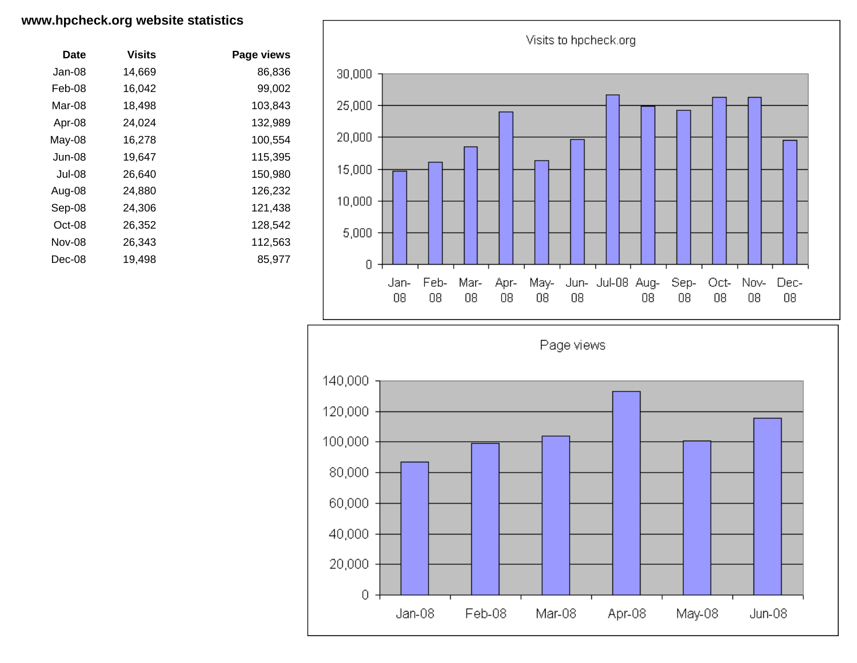#### **www.hpcheck.org website statistics**

| Date    | Visits | Page views |
|---------|--------|------------|
| Jan-08  | 14,669 | 86,836     |
| Feb-08  | 16,042 | 99,002     |
| Mar-08  | 18,498 | 103,843    |
| Apr-08  | 24,024 | 132,989    |
| May-08  | 16.278 | 100,554    |
| Jun-08  | 19,647 | 115,395    |
| .Jul-08 | 26,640 | 150,980    |
| Aug-08  | 24,880 | 126,232    |
| Sep-08  | 24,306 | 121,438    |
| Oct-08  | 26,352 | 128,542    |
| Nov-08  | 26,343 | 112,563    |
| Dec-08  | 19,498 | 85,977     |
|         |        |            |



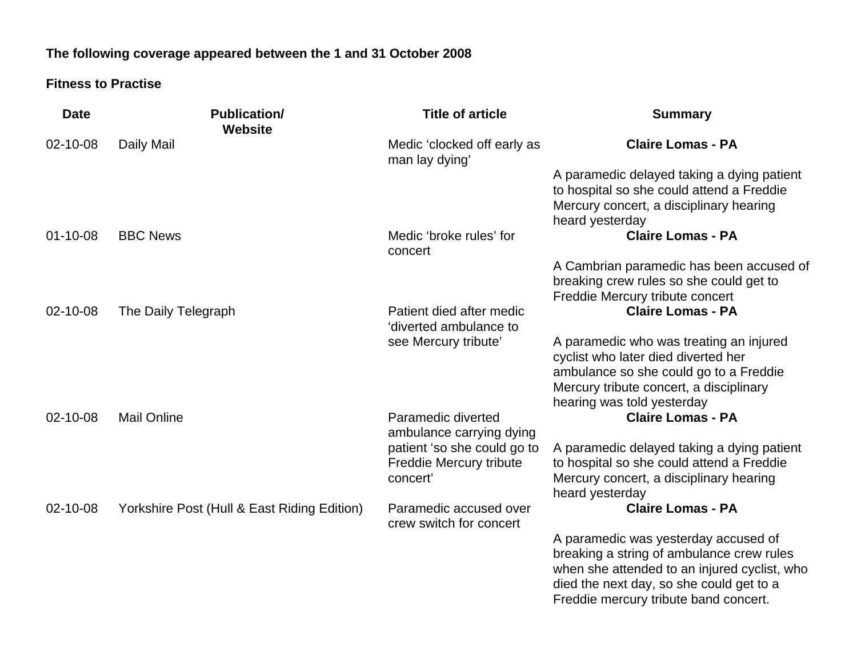## **The following coverage appeared between the 1 and 31 October 2008**

## **Fitness to Practise**

| <b>Date</b>    | <b>Publication/</b><br><b>Website</b>       | <b>Title of article</b>                                                   | <b>Summary</b>                                                                                                                                                                                                         |
|----------------|---------------------------------------------|---------------------------------------------------------------------------|------------------------------------------------------------------------------------------------------------------------------------------------------------------------------------------------------------------------|
| 02-10-08       | Daily Mail                                  | Medic 'clocked off early as<br>man lay dying'                             | <b>Claire Lomas - PA</b>                                                                                                                                                                                               |
|                |                                             |                                                                           | A paramedic delayed taking a dying patient<br>to hospital so she could attend a Freddie<br>Mercury concert, a disciplinary hearing<br>heard yesterday                                                                  |
| $01 - 10 - 08$ | <b>BBC News</b>                             | Medic 'broke rules' for<br>concert                                        | <b>Claire Lomas - PA</b>                                                                                                                                                                                               |
|                |                                             |                                                                           | A Cambrian paramedic has been accused of<br>breaking crew rules so she could get to<br>Freddie Mercury tribute concert                                                                                                 |
| 02-10-08       | The Daily Telegraph                         | Patient died after medic<br>'diverted ambulance to                        | <b>Claire Lomas - PA</b>                                                                                                                                                                                               |
|                |                                             | see Mercury tribute'                                                      | A paramedic who was treating an injured<br>cyclist who later died diverted her<br>ambulance so she could go to a Freddie<br>Mercury tribute concert, a disciplinary<br>hearing was told yesterday                      |
| 02-10-08       | <b>Mail Online</b>                          | Paramedic diverted<br>ambulance carrying dying                            | <b>Claire Lomas - PA</b>                                                                                                                                                                                               |
|                |                                             | patient 'so she could go to<br><b>Freddie Mercury tribute</b><br>concert' | A paramedic delayed taking a dying patient<br>to hospital so she could attend a Freddie<br>Mercury concert, a disciplinary hearing<br>heard yesterday                                                                  |
| 02-10-08       | Yorkshire Post (Hull & East Riding Edition) | Paramedic accused over<br>crew switch for concert                         | <b>Claire Lomas - PA</b>                                                                                                                                                                                               |
|                |                                             |                                                                           | A paramedic was yesterday accused of<br>breaking a string of ambulance crew rules<br>when she attended to an injured cyclist, who<br>died the next day, so she could get to a<br>Freddie mercury tribute band concert. |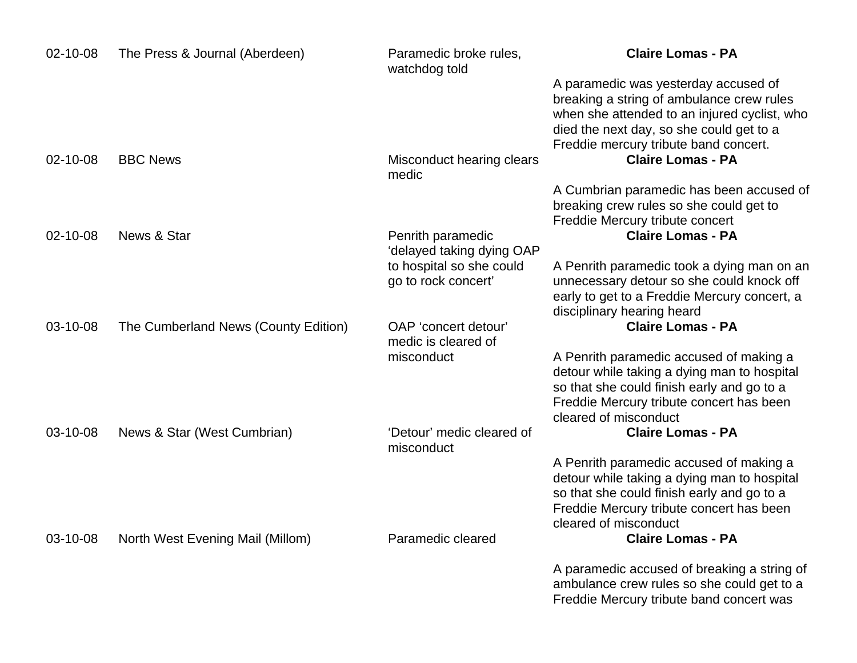| 02-10-08 | The Press & Journal (Aberdeen)       | Paramedic broke rules,<br>watchdog told         | <b>Claire Lomas - PA</b>                                                                                                                                                                                  |
|----------|--------------------------------------|-------------------------------------------------|-----------------------------------------------------------------------------------------------------------------------------------------------------------------------------------------------------------|
|          |                                      |                                                 | A paramedic was yesterday accused of<br>breaking a string of ambulance crew rules                                                                                                                         |
|          |                                      |                                                 | when she attended to an injured cyclist, who<br>died the next day, so she could get to a                                                                                                                  |
| 02-10-08 | <b>BBC News</b>                      | Misconduct hearing clears<br>medic              | Freddie mercury tribute band concert.<br><b>Claire Lomas - PA</b>                                                                                                                                         |
|          |                                      |                                                 | A Cumbrian paramedic has been accused of<br>breaking crew rules so she could get to<br>Freddie Mercury tribute concert                                                                                    |
| 02-10-08 | News & Star                          | Penrith paramedic<br>'delayed taking dying OAP  | <b>Claire Lomas - PA</b>                                                                                                                                                                                  |
|          |                                      | to hospital so she could<br>go to rock concert' | A Penrith paramedic took a dying man on an<br>unnecessary detour so she could knock off<br>early to get to a Freddie Mercury concert, a<br>disciplinary hearing heard                                     |
| 03-10-08 | The Cumberland News (County Edition) | OAP 'concert detour'<br>medic is cleared of     | <b>Claire Lomas - PA</b>                                                                                                                                                                                  |
|          |                                      | misconduct                                      | A Penrith paramedic accused of making a<br>detour while taking a dying man to hospital<br>so that she could finish early and go to a<br>Freddie Mercury tribute concert has been<br>cleared of misconduct |
| 03-10-08 | News & Star (West Cumbrian)          | 'Detour' medic cleared of<br>misconduct         | <b>Claire Lomas - PA</b>                                                                                                                                                                                  |
|          |                                      |                                                 | A Penrith paramedic accused of making a<br>detour while taking a dying man to hospital<br>so that she could finish early and go to a<br>Freddie Mercury tribute concert has been                          |
| 03-10-08 | North West Evening Mail (Millom)     | Paramedic cleared                               | cleared of misconduct<br><b>Claire Lomas - PA</b>                                                                                                                                                         |
|          |                                      |                                                 | A paramedic accused of breaking a string of<br>ambulance crew rules so she could get to a<br>Freddie Mercury tribute band concert was                                                                     |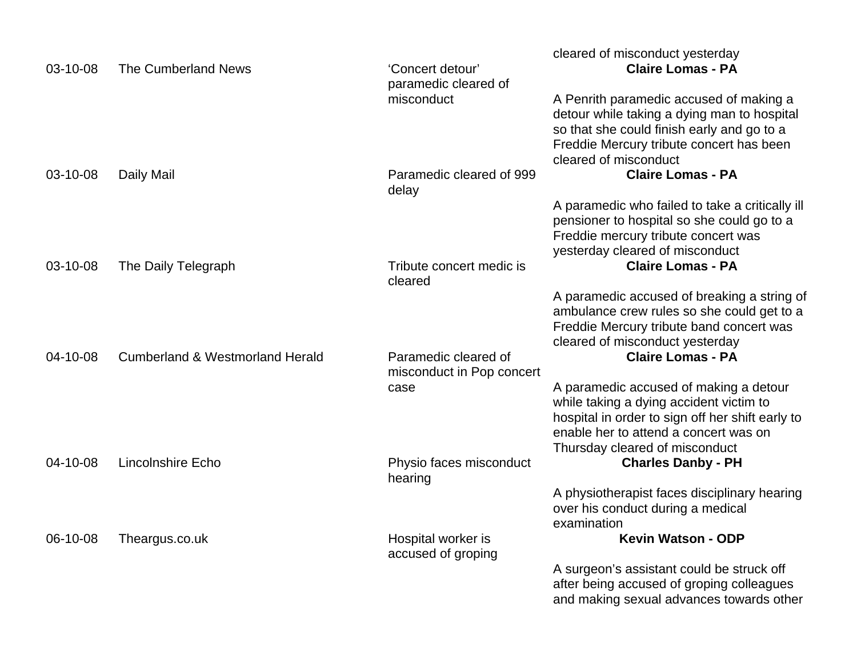| 03-10-08 | The Cumberland News                        | 'Concert detour'<br>paramedic cleared of          | cleared of misconduct yesterday<br><b>Claire Lomas - PA</b>                                                                                                                                                      |
|----------|--------------------------------------------|---------------------------------------------------|------------------------------------------------------------------------------------------------------------------------------------------------------------------------------------------------------------------|
|          |                                            | misconduct                                        | A Penrith paramedic accused of making a<br>detour while taking a dying man to hospital<br>so that she could finish early and go to a<br>Freddie Mercury tribute concert has been<br>cleared of misconduct        |
| 03-10-08 | Daily Mail                                 | Paramedic cleared of 999<br>delay                 | <b>Claire Lomas - PA</b>                                                                                                                                                                                         |
| 03-10-08 | The Daily Telegraph                        | Tribute concert medic is                          | A paramedic who failed to take a critically ill<br>pensioner to hospital so she could go to a<br>Freddie mercury tribute concert was<br>yesterday cleared of misconduct<br><b>Claire Lomas - PA</b>              |
|          |                                            | cleared                                           |                                                                                                                                                                                                                  |
|          |                                            |                                                   | A paramedic accused of breaking a string of<br>ambulance crew rules so she could get to a<br>Freddie Mercury tribute band concert was<br>cleared of misconduct yesterday                                         |
| 04-10-08 | <b>Cumberland &amp; Westmorland Herald</b> | Paramedic cleared of<br>misconduct in Pop concert | <b>Claire Lomas - PA</b>                                                                                                                                                                                         |
|          |                                            | case                                              | A paramedic accused of making a detour<br>while taking a dying accident victim to<br>hospital in order to sign off her shift early to<br>enable her to attend a concert was on<br>Thursday cleared of misconduct |
| 04-10-08 | <b>Lincolnshire Echo</b>                   | Physio faces misconduct<br>hearing                | <b>Charles Danby - PH</b>                                                                                                                                                                                        |
|          |                                            |                                                   | A physiotherapist faces disciplinary hearing<br>over his conduct during a medical<br>examination                                                                                                                 |
| 06-10-08 | Theargus.co.uk                             | Hospital worker is<br>accused of groping          | <b>Kevin Watson - ODP</b>                                                                                                                                                                                        |
|          |                                            |                                                   | A surgeon's assistant could be struck off<br>after being accused of groping colleagues<br>and making sexual advances towards other                                                                               |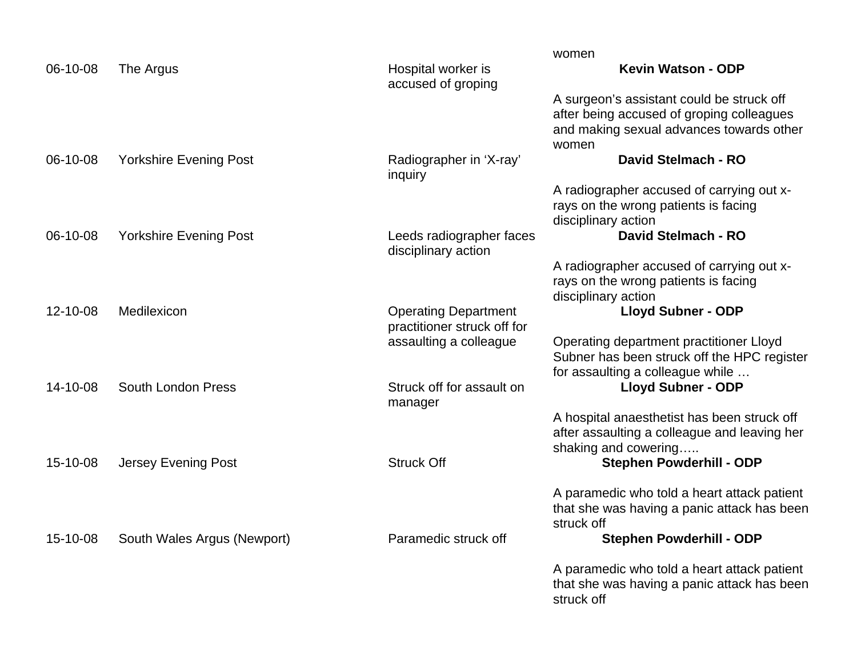|          |                               |                                                 | women                                        |
|----------|-------------------------------|-------------------------------------------------|----------------------------------------------|
| 06-10-08 | The Argus                     | Hospital worker is<br>accused of groping        | <b>Kevin Watson - ODP</b>                    |
|          |                               |                                                 | A surgeon's assistant could be struck off    |
|          |                               |                                                 | after being accused of groping colleagues    |
|          |                               |                                                 | and making sexual advances towards other     |
|          |                               |                                                 | women                                        |
| 06-10-08 | <b>Yorkshire Evening Post</b> | Radiographer in 'X-ray'<br>inquiry              | <b>David Stelmach - RO</b>                   |
|          |                               |                                                 | A radiographer accused of carrying out x-    |
|          |                               |                                                 | rays on the wrong patients is facing         |
|          |                               |                                                 | disciplinary action                          |
| 06-10-08 | <b>Yorkshire Evening Post</b> | Leeds radiographer faces<br>disciplinary action | <b>David Stelmach - RO</b>                   |
|          |                               |                                                 | A radiographer accused of carrying out x-    |
|          |                               |                                                 | rays on the wrong patients is facing         |
|          |                               |                                                 | disciplinary action                          |
| 12-10-08 | Medilexicon                   | <b>Operating Department</b>                     | <b>Lloyd Subner - ODP</b>                    |
|          |                               | practitioner struck off for                     |                                              |
|          |                               | assaulting a colleague                          | Operating department practitioner Lloyd      |
|          |                               |                                                 | Subner has been struck off the HPC register  |
|          |                               |                                                 | for assaulting a colleague while             |
| 14-10-08 | South London Press            | Struck off for assault on                       | <b>Lloyd Subner - ODP</b>                    |
|          |                               | manager                                         |                                              |
|          |                               |                                                 | A hospital anaesthetist has been struck off  |
|          |                               |                                                 | after assaulting a colleague and leaving her |
|          |                               |                                                 | shaking and cowering                         |
| 15-10-08 | Jersey Evening Post           | <b>Struck Off</b>                               | Stephen Powderhill - ODP                     |
|          |                               |                                                 | A paramedic who told a heart attack patient  |
|          |                               |                                                 | that she was having a panic attack has been  |
|          |                               |                                                 | struck off                                   |
| 15-10-08 | South Wales Argus (Newport)   | Paramedic struck off                            | <b>Stephen Powderhill - ODP</b>              |
|          |                               |                                                 | A paramedic who told a heart attack patient  |
|          |                               |                                                 | that she was having a panic attack has been  |
|          |                               |                                                 | struck off                                   |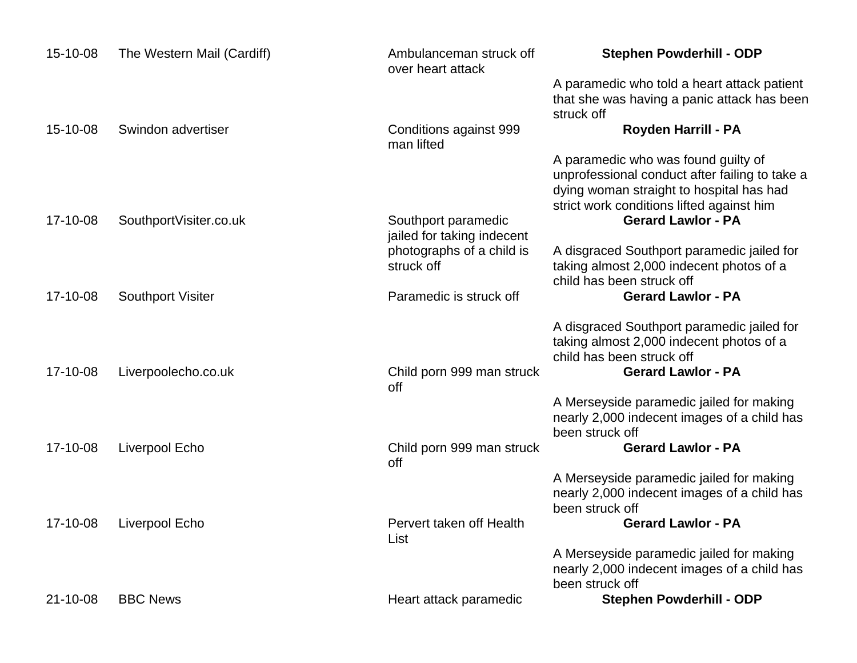| 15-10-08 | The Western Mail (Cardiff) | Ambulanceman struck off<br>over heart attack      | <b>Stephen Powderhill - ODP</b>                                                                                                                                                |
|----------|----------------------------|---------------------------------------------------|--------------------------------------------------------------------------------------------------------------------------------------------------------------------------------|
|          |                            |                                                   | A paramedic who told a heart attack patient<br>that she was having a panic attack has been<br>struck off                                                                       |
| 15-10-08 | Swindon advertiser         | Conditions against 999<br>man lifted              | Royden Harrill - PA                                                                                                                                                            |
|          |                            |                                                   | A paramedic who was found guilty of<br>unprofessional conduct after failing to take a<br>dying woman straight to hospital has had<br>strict work conditions lifted against him |
| 17-10-08 | SouthportVisiter.co.uk     | Southport paramedic<br>jailed for taking indecent | <b>Gerard Lawlor - PA</b>                                                                                                                                                      |
|          |                            | photographs of a child is<br>struck off           | A disgraced Southport paramedic jailed for<br>taking almost 2,000 indecent photos of a<br>child has been struck off                                                            |
| 17-10-08 | <b>Southport Visiter</b>   | Paramedic is struck off                           | <b>Gerard Lawlor - PA</b>                                                                                                                                                      |
|          |                            |                                                   | A disgraced Southport paramedic jailed for<br>taking almost 2,000 indecent photos of a<br>child has been struck off                                                            |
| 17-10-08 | Liverpoolecho.co.uk        | Child porn 999 man struck<br>off                  | <b>Gerard Lawlor - PA</b>                                                                                                                                                      |
|          |                            |                                                   | A Merseyside paramedic jailed for making<br>nearly 2,000 indecent images of a child has<br>been struck off                                                                     |
| 17-10-08 | Liverpool Echo             | Child porn 999 man struck<br>off                  | <b>Gerard Lawlor - PA</b>                                                                                                                                                      |
|          |                            |                                                   | A Merseyside paramedic jailed for making<br>nearly 2,000 indecent images of a child has<br>been struck off                                                                     |
| 17-10-08 | Liverpool Echo             | Pervert taken off Health<br>List                  | <b>Gerard Lawlor - PA</b>                                                                                                                                                      |
|          |                            |                                                   | A Merseyside paramedic jailed for making<br>nearly 2,000 indecent images of a child has<br>been struck off                                                                     |
| 21-10-08 | <b>BBC News</b>            | Heart attack paramedic                            | <b>Stephen Powderhill - ODP</b>                                                                                                                                                |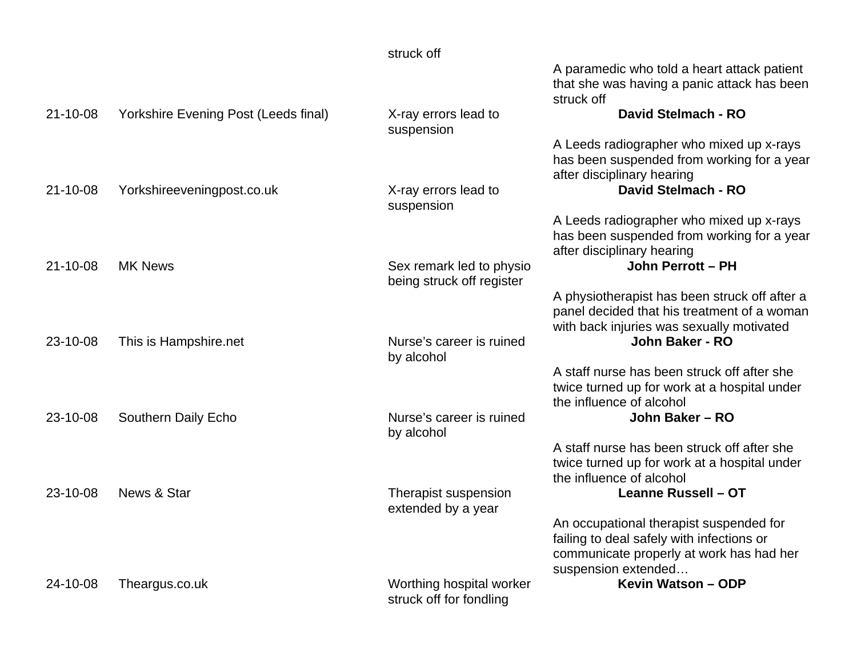|                |                                      | struck off                                            |                                                                                                                                                         |
|----------------|--------------------------------------|-------------------------------------------------------|---------------------------------------------------------------------------------------------------------------------------------------------------------|
|                |                                      |                                                       | A paramedic who told a heart attack patient<br>that she was having a panic attack has been<br>struck off                                                |
| $21 - 10 - 08$ | Yorkshire Evening Post (Leeds final) | X-ray errors lead to<br>suspension                    | <b>David Stelmach - RO</b>                                                                                                                              |
|                |                                      |                                                       | A Leeds radiographer who mixed up x-rays<br>has been suspended from working for a year<br>after disciplinary hearing                                    |
| $21 - 10 - 08$ | Yorkshireeveningpost.co.uk           | X-ray errors lead to<br>suspension                    | <b>David Stelmach - RO</b>                                                                                                                              |
|                |                                      |                                                       | A Leeds radiographer who mixed up x-rays<br>has been suspended from working for a year<br>after disciplinary hearing                                    |
| 21-10-08       | <b>MK News</b>                       | Sex remark led to physio<br>being struck off register | John Perrott - PH                                                                                                                                       |
|                |                                      |                                                       | A physiotherapist has been struck off after a<br>panel decided that his treatment of a woman<br>with back injuries was sexually motivated               |
| 23-10-08       | This is Hampshire.net                | Nurse's career is ruined<br>by alcohol                | John Baker - RO                                                                                                                                         |
|                |                                      |                                                       | A staff nurse has been struck off after she<br>twice turned up for work at a hospital under<br>the influence of alcohol                                 |
| 23-10-08       | Southern Daily Echo                  | Nurse's career is ruined<br>by alcohol                | John Baker - RO                                                                                                                                         |
|                |                                      |                                                       | A staff nurse has been struck off after she<br>twice turned up for work at a hospital under<br>the influence of alcohol                                 |
| 23-10-08       | News & Star                          | Therapist suspension<br>extended by a year            | Leanne Russell - OT                                                                                                                                     |
|                |                                      |                                                       | An occupational therapist suspended for<br>failing to deal safely with infections or<br>communicate properly at work has had her<br>suspension extended |
| 24-10-08       | Theargus.co.uk                       | Worthing hospital worker<br>struck off for fondling   | Kevin Watson - ODP                                                                                                                                      |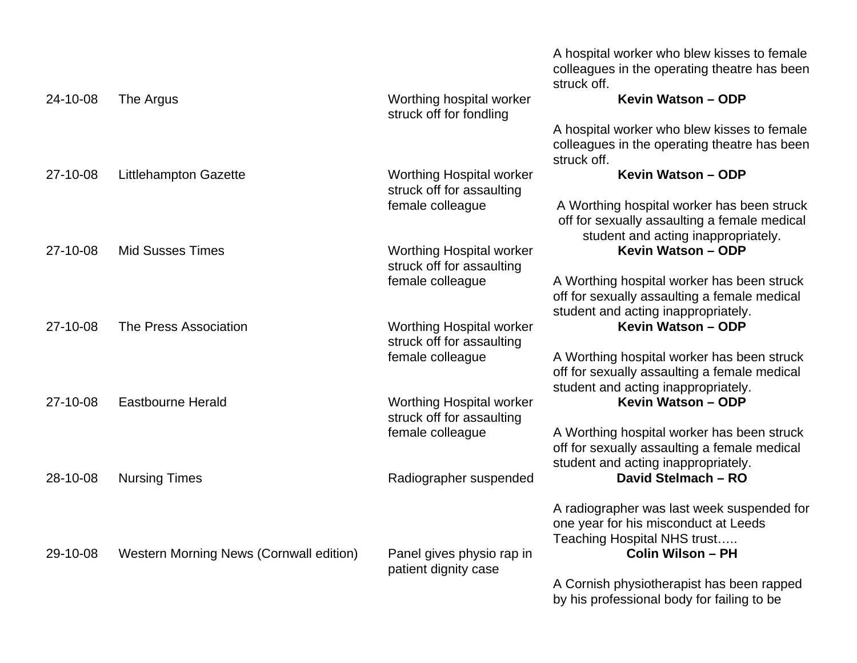|          |                                         |                                                              | A hospital worker who blew kisses to female<br>colleagues in the operating theatre has been<br>struck off.                             |
|----------|-----------------------------------------|--------------------------------------------------------------|----------------------------------------------------------------------------------------------------------------------------------------|
| 24-10-08 | The Argus                               | Worthing hospital worker<br>struck off for fondling          | Kevin Watson - ODP                                                                                                                     |
|          |                                         |                                                              | A hospital worker who blew kisses to female<br>colleagues in the operating theatre has been<br>struck off.                             |
| 27-10-08 | <b>Littlehampton Gazette</b>            | <b>Worthing Hospital worker</b><br>struck off for assaulting | Kevin Watson - ODP                                                                                                                     |
|          |                                         | female colleague                                             | A Worthing hospital worker has been struck<br>off for sexually assaulting a female medical<br>student and acting inappropriately.      |
| 27-10-08 | <b>Mid Susses Times</b>                 | <b>Worthing Hospital worker</b><br>struck off for assaulting | Kevin Watson - ODP                                                                                                                     |
|          |                                         | female colleague                                             | A Worthing hospital worker has been struck<br>off for sexually assaulting a female medical<br>student and acting inappropriately.      |
| 27-10-08 | The Press Association                   | <b>Worthing Hospital worker</b><br>struck off for assaulting | Kevin Watson - ODP                                                                                                                     |
|          |                                         | female colleague                                             | A Worthing hospital worker has been struck<br>off for sexually assaulting a female medical<br>student and acting inappropriately.      |
| 27-10-08 | <b>Eastbourne Herald</b>                | <b>Worthing Hospital worker</b><br>struck off for assaulting | Kevin Watson - ODP                                                                                                                     |
|          |                                         | female colleague                                             | A Worthing hospital worker has been struck<br>off for sexually assaulting a female medical<br>student and acting inappropriately.      |
| 28-10-08 | <b>Nursing Times</b>                    | Radiographer suspended                                       | David Stelmach - RO                                                                                                                    |
| 29-10-08 | Western Morning News (Cornwall edition) | Panel gives physio rap in<br>patient dignity case            | A radiographer was last week suspended for<br>one year for his misconduct at Leeds<br>Teaching Hospital NHS trust<br>Colin Wilson - PH |
|          |                                         |                                                              | A Cornish physiotherapist has been rapped<br>by his professional body for failing to be                                                |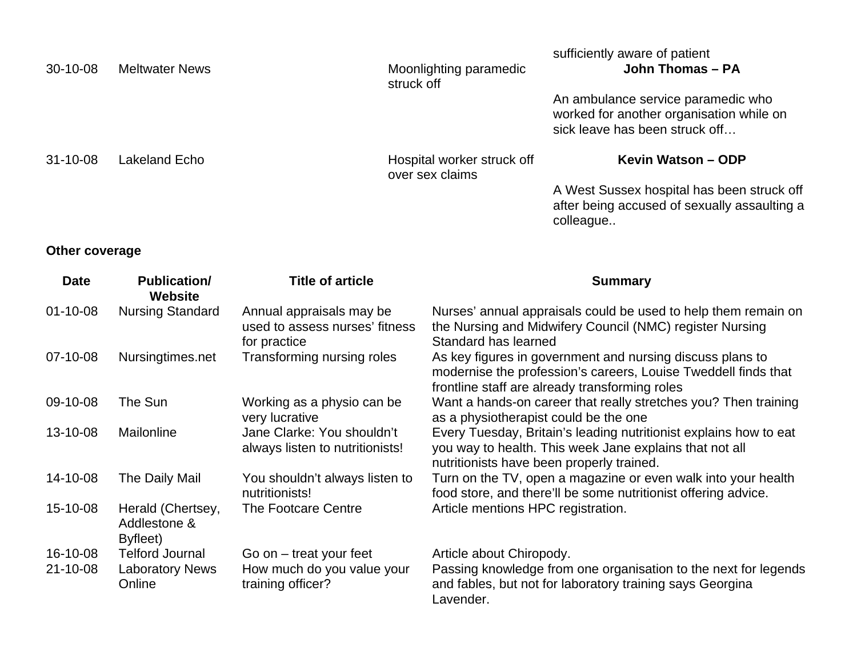|                |                                       |                                                                            |                                               | sufficiently aware of patient                                                                                              |
|----------------|---------------------------------------|----------------------------------------------------------------------------|-----------------------------------------------|----------------------------------------------------------------------------------------------------------------------------|
| $30 - 10 - 08$ | <b>Meltwater News</b>                 |                                                                            | Moonlighting paramedic<br>struck off          | John Thomas - PA                                                                                                           |
|                |                                       |                                                                            |                                               | An ambulance service paramedic who<br>worked for another organisation while on<br>sick leave has been struck off           |
| $31 - 10 - 08$ | Lakeland Echo                         |                                                                            | Hospital worker struck off<br>over sex claims | Kevin Watson - ODP                                                                                                         |
|                |                                       |                                                                            |                                               | A West Sussex hospital has been struck off                                                                                 |
|                |                                       |                                                                            |                                               | after being accused of sexually assaulting a<br>colleague                                                                  |
| Other coverage |                                       |                                                                            |                                               |                                                                                                                            |
| <b>Date</b>    | <b>Publication/</b><br><b>Website</b> | <b>Title of article</b>                                                    |                                               | <b>Summary</b>                                                                                                             |
| $01 - 10 - 08$ | <b>Nursing Standard</b>               | Annual appraisals may be<br>used to assess nurses' fitness<br>for practice | Standard has learned                          | Nurses' annual appraisals could be used to help them remain on<br>the Nursing and Midwifery Council (NMC) register Nursing |
|                |                                       |                                                                            |                                               |                                                                                                                            |

|          |                                               | used to assess nurses Titriess<br>for practice                | the Nursing and Milawitery Council (NMC) register Nursing<br>Standard has learned                                                                                             |
|----------|-----------------------------------------------|---------------------------------------------------------------|-------------------------------------------------------------------------------------------------------------------------------------------------------------------------------|
| 07-10-08 | Nursingtimes.net                              | Transforming nursing roles                                    | As key figures in government and nursing discuss plans to<br>modernise the profession's careers, Louise Tweddell finds that<br>frontline staff are already transforming roles |
| 09-10-08 | The Sun                                       | Working as a physio can be<br>very lucrative                  | Want a hands-on career that really stretches you? Then training<br>as a physiotherapist could be the one                                                                      |
| 13-10-08 | Mailonline                                    | Jane Clarke: You shouldn't<br>always listen to nutritionists! | Every Tuesday, Britain's leading nutritionist explains how to eat<br>you way to health. This week Jane explains that not all<br>nutritionists have been properly trained.     |
| 14-10-08 | The Daily Mail                                | You shouldn't always listen to<br>nutritionists!              | Turn on the TV, open a magazine or even walk into your health<br>food store, and there'll be some nutritionist offering advice.                                               |
| 15-10-08 | Herald (Chertsey,<br>Addlestone &<br>Byfleet) | The Footcare Centre                                           | Article mentions HPC registration.                                                                                                                                            |
| 16-10-08 | <b>Telford Journal</b>                        | Go on $-$ treat your feet                                     | Article about Chiropody.                                                                                                                                                      |
| 21-10-08 | <b>Laboratory News</b><br>Online              | How much do you value your<br>training officer?               | Passing knowledge from one organisation to the next for legends<br>and fables, but not for laboratory training says Georgina<br>Lavender.                                     |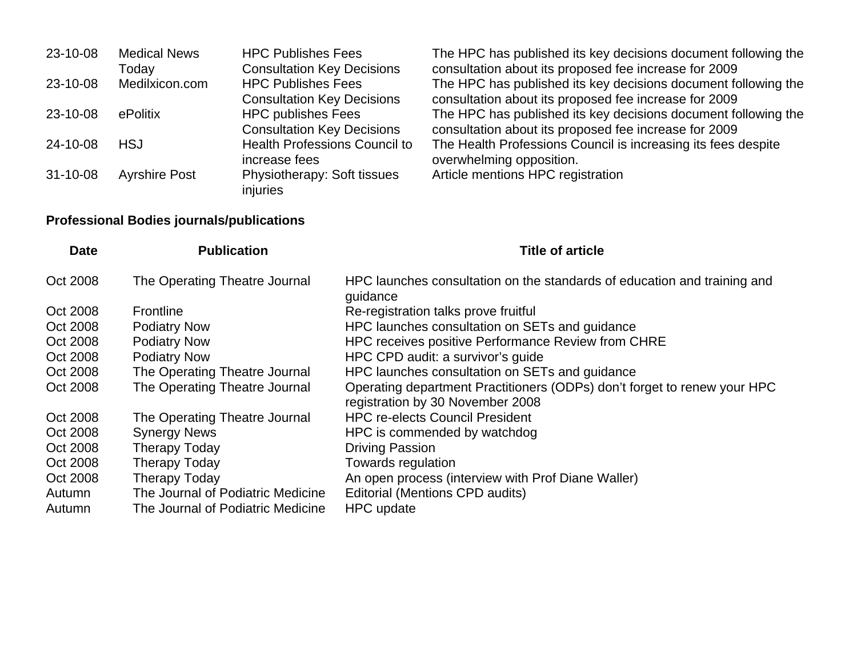| 23-10-08       | <b>Medical News</b>  | <b>HPC Publishes Fees</b>                                      | The HPC has published its key decisions document following the                                                          |
|----------------|----------------------|----------------------------------------------------------------|-------------------------------------------------------------------------------------------------------------------------|
|                | Todav                | <b>Consultation Key Decisions</b>                              | consultation about its proposed fee increase for 2009                                                                   |
| 23-10-08       | Medilxicon.com       | <b>HPC Publishes Fees</b><br><b>Consultation Key Decisions</b> | The HPC has published its key decisions document following the<br>consultation about its proposed fee increase for 2009 |
| 23-10-08       | ePolitix             | <b>HPC publishes Fees</b>                                      | The HPC has published its key decisions document following the                                                          |
|                |                      | <b>Consultation Key Decisions</b>                              | consultation about its proposed fee increase for 2009                                                                   |
| 24-10-08       | <b>HSJ</b>           | <b>Health Professions Council to</b><br>increase fees          | The Health Professions Council is increasing its fees despite<br>overwhelming opposition.                               |
| $31 - 10 - 08$ | <b>Ayrshire Post</b> | Physiotherapy: Soft tissues<br>injuries                        | Article mentions HPC registration                                                                                       |

# **Professional Bodies journals/publications**

| <b>Date</b> | <b>Publication</b>                | <b>Title of article</b>                                                                                      |
|-------------|-----------------------------------|--------------------------------------------------------------------------------------------------------------|
| Oct 2008    | The Operating Theatre Journal     | HPC launches consultation on the standards of education and training and<br>guidance                         |
| Oct 2008    | <b>Frontline</b>                  | Re-registration talks prove fruitful                                                                         |
| Oct 2008    | <b>Podiatry Now</b>               | HPC launches consultation on SETs and guidance                                                               |
| Oct 2008    | <b>Podiatry Now</b>               | HPC receives positive Performance Review from CHRE                                                           |
| Oct 2008    | <b>Podiatry Now</b>               | HPC CPD audit: a survivor's guide                                                                            |
| Oct 2008    | The Operating Theatre Journal     | HPC launches consultation on SETs and guidance                                                               |
| Oct 2008    | The Operating Theatre Journal     | Operating department Practitioners (ODPs) don't forget to renew your HPC<br>registration by 30 November 2008 |
| Oct 2008    | The Operating Theatre Journal     | <b>HPC re-elects Council President</b>                                                                       |
| Oct 2008    | <b>Synergy News</b>               | HPC is commended by watchdog                                                                                 |
| Oct 2008    | <b>Therapy Today</b>              | <b>Driving Passion</b>                                                                                       |
| Oct 2008    | <b>Therapy Today</b>              | Towards regulation                                                                                           |
| Oct 2008    | <b>Therapy Today</b>              | An open process (interview with Prof Diane Waller)                                                           |
| Autumn      | The Journal of Podiatric Medicine | Editorial (Mentions CPD audits)                                                                              |
| Autumn      | The Journal of Podiatric Medicine | HPC update                                                                                                   |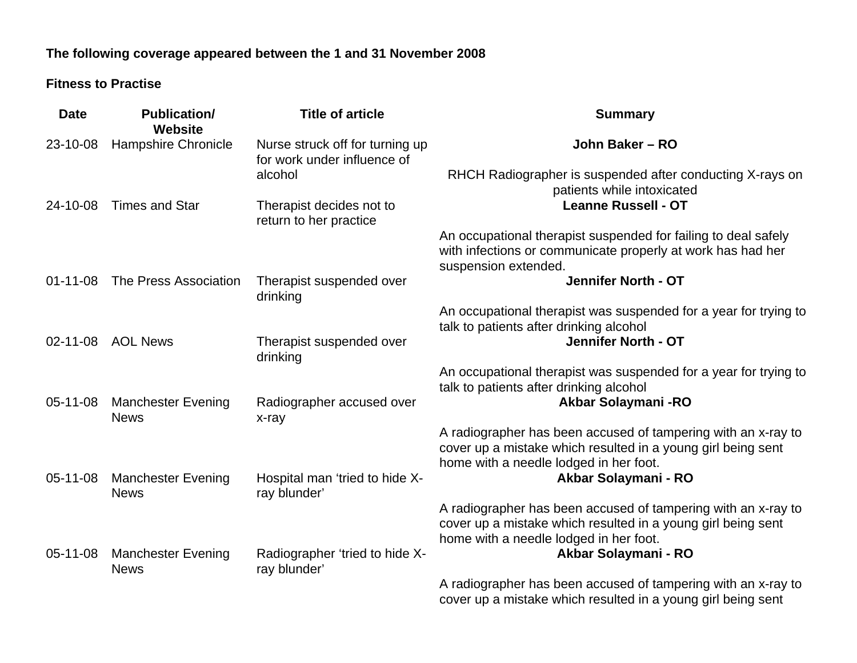## **The following coverage appeared between the 1 and 31 November 2008**

#### **Fitness to Practise**

| <b>Date</b>    | <b>Publication/</b><br><b>Website</b>    | <b>Title of article</b>                                        | <b>Summary</b>                                                                                                                                                          |
|----------------|------------------------------------------|----------------------------------------------------------------|-------------------------------------------------------------------------------------------------------------------------------------------------------------------------|
| 23-10-08       | <b>Hampshire Chronicle</b>               | Nurse struck off for turning up<br>for work under influence of | John Baker - RO                                                                                                                                                         |
|                |                                          | alcohol                                                        | RHCH Radiographer is suspended after conducting X-rays on<br>patients while intoxicated                                                                                 |
| 24-10-08       | <b>Times and Star</b>                    | Therapist decides not to<br>return to her practice             | <b>Leanne Russell - OT</b>                                                                                                                                              |
|                |                                          |                                                                | An occupational therapist suspended for failing to deal safely<br>with infections or communicate properly at work has had her<br>suspension extended.                   |
| $01 - 11 - 08$ | The Press Association                    | Therapist suspended over<br>drinking                           | <b>Jennifer North - OT</b>                                                                                                                                              |
|                |                                          |                                                                | An occupational therapist was suspended for a year for trying to<br>talk to patients after drinking alcohol                                                             |
| 02-11-08       | <b>AOL News</b>                          | Therapist suspended over<br>drinking                           | Jennifer North - OT                                                                                                                                                     |
|                |                                          |                                                                | An occupational therapist was suspended for a year for trying to<br>talk to patients after drinking alcohol                                                             |
| 05-11-08       | <b>Manchester Evening</b><br><b>News</b> | Radiographer accused over<br>x-ray                             | Akbar Solaymani - RO                                                                                                                                                    |
|                |                                          |                                                                | A radiographer has been accused of tampering with an x-ray to<br>cover up a mistake which resulted in a young girl being sent<br>home with a needle lodged in her foot. |
| 05-11-08       | <b>Manchester Evening</b><br><b>News</b> | Hospital man 'tried to hide X-<br>ray blunder'                 | Akbar Solaymani - RO                                                                                                                                                    |
|                |                                          |                                                                | A radiographer has been accused of tampering with an x-ray to<br>cover up a mistake which resulted in a young girl being sent<br>home with a needle lodged in her foot. |
| 05-11-08       | <b>Manchester Evening</b><br><b>News</b> | Radiographer 'tried to hide X-<br>ray blunder'                 | Akbar Solaymani - RO                                                                                                                                                    |
|                |                                          |                                                                | A radiographer has been accused of tampering with an x-ray to<br>cover up a mistake which resulted in a young girl being sent                                           |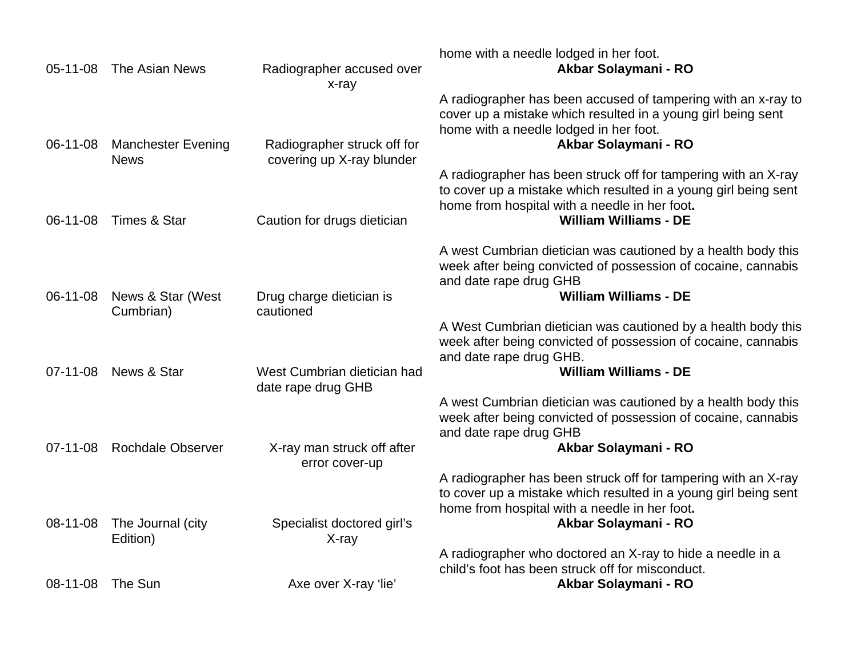| 05-11-08       | The Asian News                           | Radiographer accused over                                | home with a needle lodged in her foot.<br>Akbar Solaymani - RO                                                                                                                                  |
|----------------|------------------------------------------|----------------------------------------------------------|-------------------------------------------------------------------------------------------------------------------------------------------------------------------------------------------------|
|                |                                          | x-ray                                                    |                                                                                                                                                                                                 |
| 06-11-08       | <b>Manchester Evening</b><br><b>News</b> | Radiographer struck off for<br>covering up X-ray blunder | A radiographer has been accused of tampering with an x-ray to<br>cover up a mistake which resulted in a young girl being sent<br>home with a needle lodged in her foot.<br>Akbar Solaymani - RO |
|                |                                          |                                                          | A radiographer has been struck off for tampering with an X-ray<br>to cover up a mistake which resulted in a young girl being sent<br>home from hospital with a needle in her foot.              |
| 06-11-08       | <b>Times &amp; Star</b>                  | Caution for drugs dietician                              | <b>William Williams - DE</b>                                                                                                                                                                    |
|                |                                          |                                                          | A west Cumbrian dietician was cautioned by a health body this<br>week after being convicted of possession of cocaine, cannabis<br>and date rape drug GHB                                        |
| 06-11-08       | News & Star (West                        | Drug charge dietician is                                 | <b>William Williams - DE</b>                                                                                                                                                                    |
|                | Cumbrian)                                | cautioned                                                | A West Cumbrian dietician was cautioned by a health body this<br>week after being convicted of possession of cocaine, cannabis<br>and date rape drug GHB.                                       |
| $07 - 11 - 08$ | News & Star                              | West Cumbrian dietician had<br>date rape drug GHB        | <b>William Williams - DE</b>                                                                                                                                                                    |
|                |                                          |                                                          | A west Cumbrian dietician was cautioned by a health body this<br>week after being convicted of possession of cocaine, cannabis<br>and date rape drug GHB                                        |
| $07 - 11 - 08$ | <b>Rochdale Observer</b>                 | X-ray man struck off after<br>error cover-up             | Akbar Solaymani - RO                                                                                                                                                                            |
|                |                                          |                                                          | A radiographer has been struck off for tampering with an X-ray<br>to cover up a mistake which resulted in a young girl being sent<br>home from hospital with a needle in her foot.              |
| 08-11-08       | The Journal (city<br>Edition)            | Specialist doctored girl's<br>X-ray                      | Akbar Solaymani - RO                                                                                                                                                                            |
|                |                                          |                                                          | A radiographer who doctored an X-ray to hide a needle in a<br>child's foot has been struck off for misconduct.                                                                                  |
| $08 - 11 - 08$ | The Sun                                  | Axe over X-ray 'lie'                                     | Akbar Solaymani - RO                                                                                                                                                                            |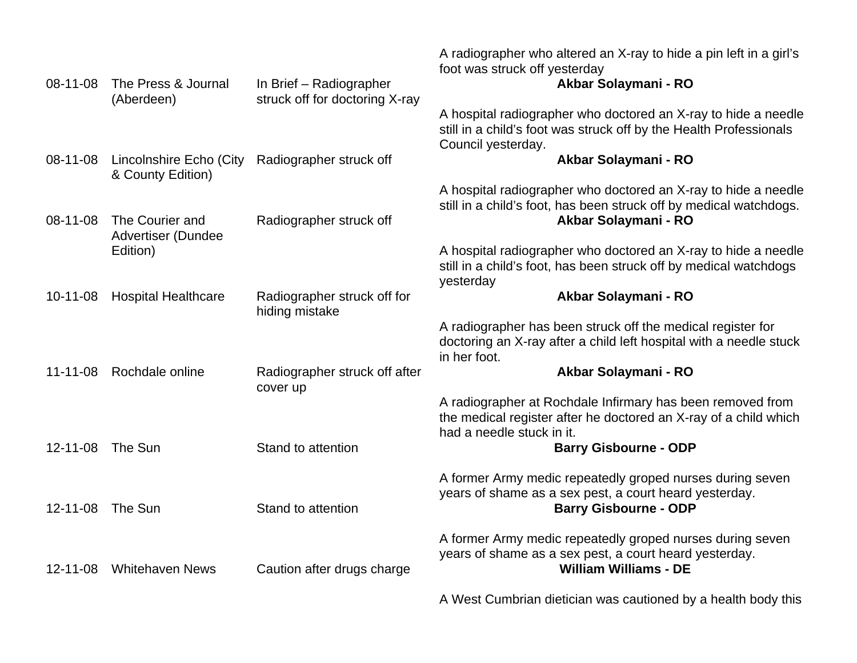| 08-11-08       | The Press & Journal                          | In Brief - Radiographer                       | A radiographer who altered an X-ray to hide a pin left in a girl's<br>foot was struck off yesterday<br>Akbar Solaymani - RO                                  |
|----------------|----------------------------------------------|-----------------------------------------------|--------------------------------------------------------------------------------------------------------------------------------------------------------------|
|                | (Aberdeen)                                   | struck off for doctoring X-ray                |                                                                                                                                                              |
|                |                                              |                                               | A hospital radiographer who doctored an X-ray to hide a needle<br>still in a child's foot was struck off by the Health Professionals<br>Council yesterday.   |
| 08-11-08       | Lincolnshire Echo (City<br>& County Edition) | Radiographer struck off                       | Akbar Solaymani - RO                                                                                                                                         |
| 08-11-08       | The Courier and<br>Advertiser (Dundee        | Radiographer struck off                       | A hospital radiographer who doctored an X-ray to hide a needle<br>still in a child's foot, has been struck off by medical watchdogs.<br>Akbar Solaymani - RO |
|                | Edition)                                     |                                               | A hospital radiographer who doctored an X-ray to hide a needle<br>still in a child's foot, has been struck off by medical watchdogs<br>yesterday             |
| $10 - 11 - 08$ | <b>Hospital Healthcare</b>                   | Radiographer struck off for<br>hiding mistake | Akbar Solaymani - RO                                                                                                                                         |
|                |                                              |                                               | A radiographer has been struck off the medical register for<br>doctoring an X-ray after a child left hospital with a needle stuck<br>in her foot.            |
| $11 - 11 - 08$ | Rochdale online                              | Radiographer struck off after<br>cover up     | Akbar Solaymani - RO                                                                                                                                         |
|                |                                              |                                               | A radiographer at Rochdale Infirmary has been removed from<br>the medical register after he doctored an X-ray of a child which<br>had a needle stuck in it.  |
| $12 - 11 - 08$ | The Sun                                      | Stand to attention                            | <b>Barry Gisbourne - ODP</b>                                                                                                                                 |
| $12 - 11 - 08$ | The Sun                                      | Stand to attention                            | A former Army medic repeatedly groped nurses during seven<br>years of shame as a sex pest, a court heard yesterday.<br><b>Barry Gisbourne - ODP</b>          |
| $12 - 11 - 08$ | <b>Whitehaven News</b>                       | Caution after drugs charge                    | A former Army medic repeatedly groped nurses during seven<br>years of shame as a sex pest, a court heard yesterday.<br><b>William Williams - DE</b>          |
|                |                                              |                                               | A West Cumbrian dietician was cautioned by a health body this                                                                                                |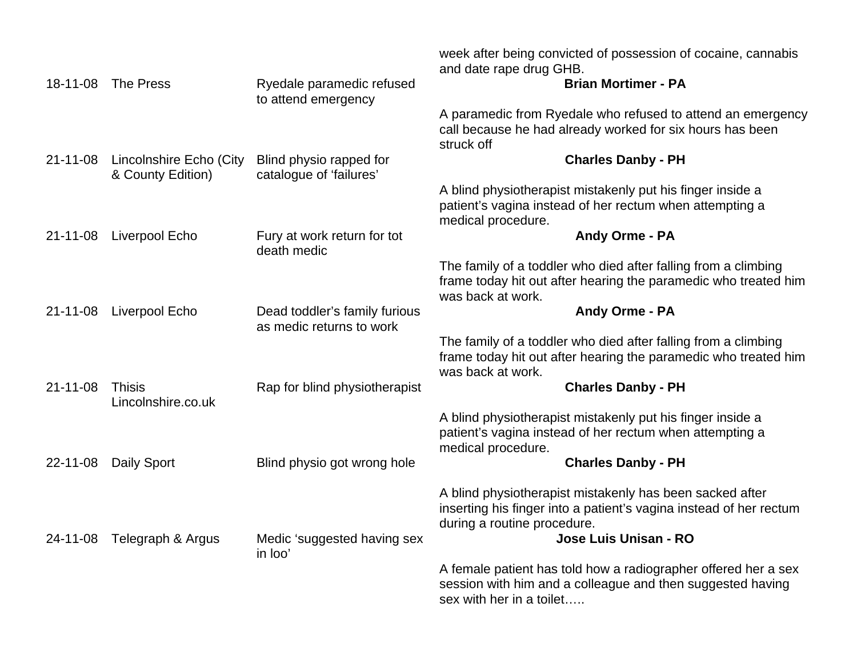| 18-11-08       | The Press                                    | Ryedale paramedic refused<br>to attend emergency          | week after being convicted of possession of cocaine, cannabis<br>and date rape drug GHB.<br><b>Brian Mortimer - PA</b>                                                                 |
|----------------|----------------------------------------------|-----------------------------------------------------------|----------------------------------------------------------------------------------------------------------------------------------------------------------------------------------------|
|                |                                              |                                                           | A paramedic from Ryedale who refused to attend an emergency<br>call because he had already worked for six hours has been<br>struck off                                                 |
| $21 - 11 - 08$ | Lincolnshire Echo (City<br>& County Edition) | Blind physio rapped for<br>catalogue of 'failures'        | <b>Charles Danby - PH</b>                                                                                                                                                              |
|                |                                              |                                                           | A blind physiotherapist mistakenly put his finger inside a<br>patient's vagina instead of her rectum when attempting a<br>medical procedure.                                           |
| 21-11-08       | Liverpool Echo                               | Fury at work return for tot<br>death medic                | Andy Orme - PA                                                                                                                                                                         |
|                |                                              |                                                           | The family of a toddler who died after falling from a climbing<br>frame today hit out after hearing the paramedic who treated him<br>was back at work.                                 |
| $21 - 11 - 08$ | <b>Liverpool Echo</b>                        | Dead toddler's family furious<br>as medic returns to work | Andy Orme - PA                                                                                                                                                                         |
|                |                                              |                                                           | The family of a toddler who died after falling from a climbing<br>frame today hit out after hearing the paramedic who treated him<br>was back at work.                                 |
| $21 - 11 - 08$ | <b>Thisis</b><br>Lincolnshire.co.uk          | Rap for blind physiotherapist                             | <b>Charles Danby - PH</b>                                                                                                                                                              |
|                |                                              |                                                           | A blind physiotherapist mistakenly put his finger inside a<br>patient's vagina instead of her rectum when attempting a<br>medical procedure.                                           |
| 22-11-08       | Daily Sport                                  | Blind physio got wrong hole                               | <b>Charles Danby - PH</b>                                                                                                                                                              |
|                |                                              |                                                           | A blind physiotherapist mistakenly has been sacked after<br>inserting his finger into a patient's vagina instead of her rectum<br>during a routine procedure.<br>Jose Luis Unisan - RO |
| 24-11-08       | Telegraph & Argus                            | Medic 'suggested having sex<br>in loo'                    |                                                                                                                                                                                        |
|                |                                              |                                                           | A female patient has told how a radiographer offered her a sex<br>session with him and a colleague and then suggested having<br>sex with her in a toilet                               |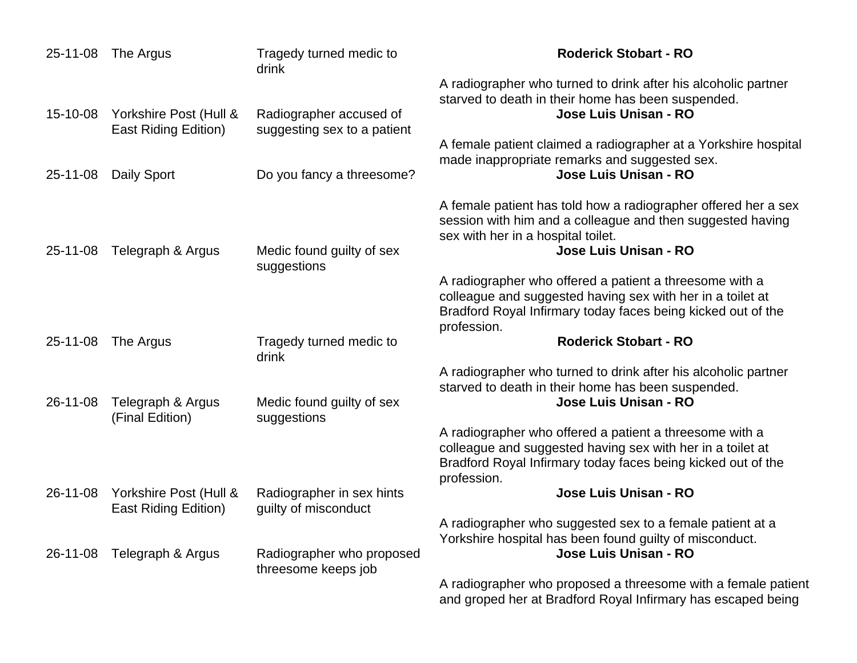| 25-11-08 | The Argus                                      | Tragedy turned medic to<br>drink                  | <b>Roderick Stobart - RO</b>                                                                                                                                                                         |
|----------|------------------------------------------------|---------------------------------------------------|------------------------------------------------------------------------------------------------------------------------------------------------------------------------------------------------------|
| 15-10-08 | Yorkshire Post (Hull &                         | Radiographer accused of                           | A radiographer who turned to drink after his alcoholic partner<br>starved to death in their home has been suspended.<br>Jose Luis Unisan - RO                                                        |
|          | <b>East Riding Edition)</b>                    | suggesting sex to a patient                       | A female patient claimed a radiographer at a Yorkshire hospital                                                                                                                                      |
| 25-11-08 | <b>Daily Sport</b>                             | Do you fancy a threesome?                         | made inappropriate remarks and suggested sex.<br>Jose Luis Unisan - RO                                                                                                                               |
| 25-11-08 | Telegraph & Argus                              | Medic found guilty of sex<br>suggestions          | A female patient has told how a radiographer offered her a sex<br>session with him and a colleague and then suggested having<br>sex with her in a hospital toilet.<br>Jose Luis Unisan - RO          |
|          |                                                |                                                   | A radiographer who offered a patient a threesome with a<br>colleague and suggested having sex with her in a toilet at<br>Bradford Royal Infirmary today faces being kicked out of the<br>profession. |
| 25-11-08 | The Argus                                      | Tragedy turned medic to<br>drink                  | <b>Roderick Stobart - RO</b>                                                                                                                                                                         |
| 26-11-08 | Telegraph & Argus<br>(Final Edition)           | Medic found guilty of sex<br>suggestions          | A radiographer who turned to drink after his alcoholic partner<br>starved to death in their home has been suspended.<br>Jose Luis Unisan - RO                                                        |
|          |                                                |                                                   | A radiographer who offered a patient a threesome with a<br>colleague and suggested having sex with her in a toilet at<br>Bradford Royal Infirmary today faces being kicked out of the<br>profession. |
| 26-11-08 | Yorkshire Post (Hull &<br>East Riding Edition) | Radiographer in sex hints<br>guilty of misconduct | Jose Luis Unisan - RO                                                                                                                                                                                |
| 26-11-08 | Telegraph & Argus                              | Radiographer who proposed                         | A radiographer who suggested sex to a female patient at a<br>Yorkshire hospital has been found guilty of misconduct.<br>Jose Luis Unisan - RO                                                        |
|          |                                                | threesome keeps job                               | A radiographer who proposed a threesome with a female patient<br>and groped her at Bradford Royal Infirmary has escaped being                                                                        |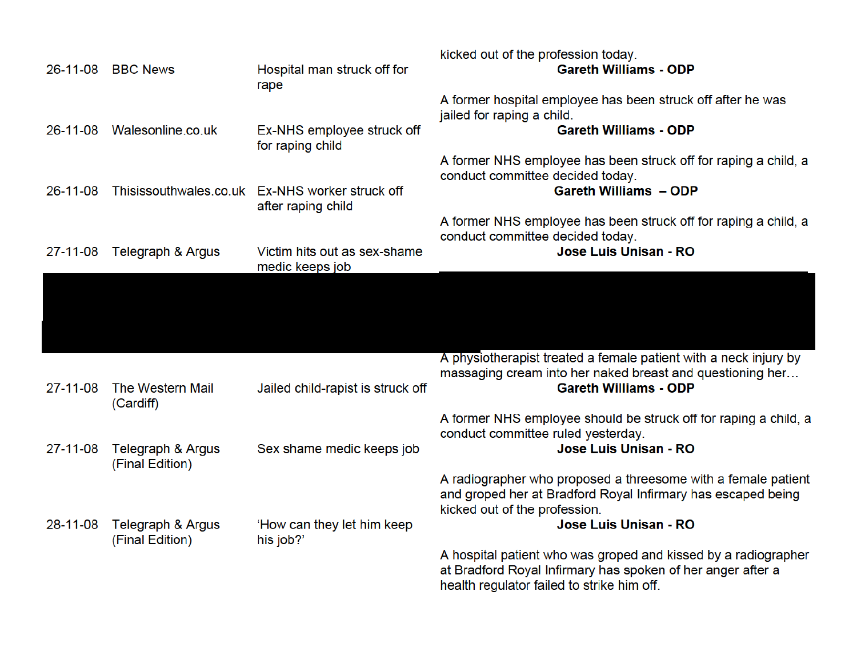|                | 26-11-08 BBC News                    | Hospital man struck off for<br>rape                                   | kicked out of the profession today.<br><b>Gareth Williams - ODP</b>                                                                                                                     |
|----------------|--------------------------------------|-----------------------------------------------------------------------|-----------------------------------------------------------------------------------------------------------------------------------------------------------------------------------------|
|                | 26-11-08 Walesonline.co.uk           | Ex-NHS employee struck off<br>for raping child                        | A former hospital employee has been struck off after he was<br>jailed for raping a child.<br><b>Gareth Williams - ODP</b>                                                               |
| 26-11-08       |                                      | Thisissouthwales.co.uk Ex-NHS worker struck off<br>after raping child | A former NHS employee has been struck off for raping a child, a<br>conduct committee decided today.<br><b>Gareth Williams - ODP</b>                                                     |
| $27 - 11 - 08$ | Telegraph & Argus                    | Victim hits out as sex-shame<br>medic keeps job                       | A former NHS employee has been struck off for raping a child, a<br>conduct committee decided today.<br>Jose Luis Unisan - RO                                                            |
|                |                                      |                                                                       |                                                                                                                                                                                         |
| 27-11-08       | The Western Mail                     | Jailed child-rapist is struck off                                     | A physiotherapist treated a female patient with a neck injury by<br>massaging cream into her naked breast and questioning her<br><b>Gareth Williams - ODP</b>                           |
| 27-11-08       | (Cardiff)<br>Telegraph & Argus       | Sex shame medic keeps job                                             | A former NHS employee should be struck off for raping a child, a<br>conduct committee ruled yesterday.<br>Jose Luis Unisan - RO                                                         |
|                | (Final Edition)                      |                                                                       | A radiographer who proposed a threesome with a female patient<br>and groped her at Bradford Royal Infirmary has escaped being<br>kicked out of the profession.<br>Jose Luis Unisan - RO |
| 28-11-08       | Telegraph & Argus<br>(Final Edition) | 'How can they let him keep<br>his job?'                               | A hospital patient who was groped and kissed by a radiographer<br>at Bradford Royal Infirmary has spoken of her anger after a<br>health regulator failed to strike him off.             |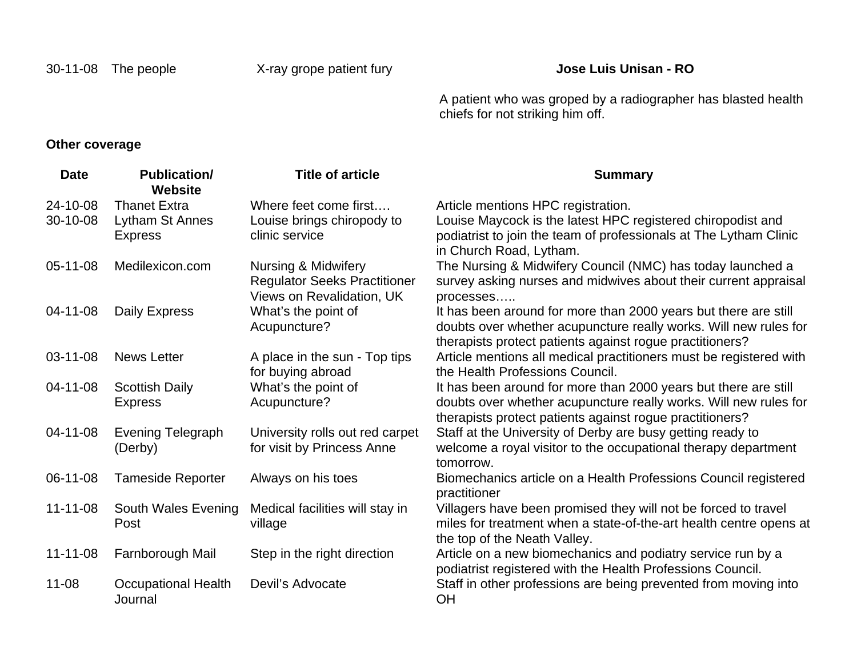A patient who was groped by a radiographer has blasted health chiefs for not striking him off.

### **Other coverage**

| <b>Date</b>    | <b>Publication/</b><br><b>Website</b> | <b>Title of article</b>                                          | <b>Summary</b>                                                                                                               |
|----------------|---------------------------------------|------------------------------------------------------------------|------------------------------------------------------------------------------------------------------------------------------|
| 24-10-08       | <b>Thanet Extra</b>                   | Where feet come first                                            | Article mentions HPC registration.                                                                                           |
| 30-10-08       | Lytham St Annes                       | Louise brings chiropody to                                       | Louise Maycock is the latest HPC registered chiropodist and                                                                  |
|                | <b>Express</b>                        | clinic service                                                   | podiatrist to join the team of professionals at The Lytham Clinic<br>in Church Road, Lytham.                                 |
| $05-11-08$     | Medilexicon.com                       | <b>Nursing &amp; Midwifery</b>                                   | The Nursing & Midwifery Council (NMC) has today launched a                                                                   |
|                |                                       | <b>Regulator Seeks Practitioner</b><br>Views on Revalidation, UK | survey asking nurses and midwives about their current appraisal<br>processes                                                 |
| 04-11-08       | Daily Express                         | What's the point of                                              | It has been around for more than 2000 years but there are still                                                              |
|                |                                       | Acupuncture?                                                     | doubts over whether acupuncture really works. Will new rules for<br>therapists protect patients against rogue practitioners? |
| 03-11-08       | <b>News Letter</b>                    | A place in the sun - Top tips                                    | Article mentions all medical practitioners must be registered with                                                           |
|                |                                       | for buying abroad                                                | the Health Professions Council.                                                                                              |
| 04-11-08       | <b>Scottish Daily</b>                 | What's the point of                                              | It has been around for more than 2000 years but there are still                                                              |
|                | <b>Express</b>                        | Acupuncture?                                                     | doubts over whether acupuncture really works. Will new rules for<br>therapists protect patients against rogue practitioners? |
| 04-11-08       | <b>Evening Telegraph</b>              | University rolls out red carpet                                  | Staff at the University of Derby are busy getting ready to                                                                   |
|                | (Derby)                               | for visit by Princess Anne                                       | welcome a royal visitor to the occupational therapy department                                                               |
|                |                                       |                                                                  | tomorrow.                                                                                                                    |
| 06-11-08       | <b>Tameside Reporter</b>              | Always on his toes                                               | Biomechanics article on a Health Professions Council registered<br>practitioner                                              |
| $11 - 11 - 08$ | South Wales Evening                   | Medical facilities will stay in                                  | Villagers have been promised they will not be forced to travel                                                               |
|                | Post                                  | village                                                          | miles for treatment when a state-of-the-art health centre opens at<br>the top of the Neath Valley.                           |
| $11 - 11 - 08$ | Farnborough Mail                      | Step in the right direction                                      | Article on a new biomechanics and podiatry service run by a                                                                  |
|                |                                       |                                                                  | podiatrist registered with the Health Professions Council.                                                                   |
| $11 - 08$      | <b>Occupational Health</b><br>Journal | Devil's Advocate                                                 | Staff in other professions are being prevented from moving into<br>OH                                                        |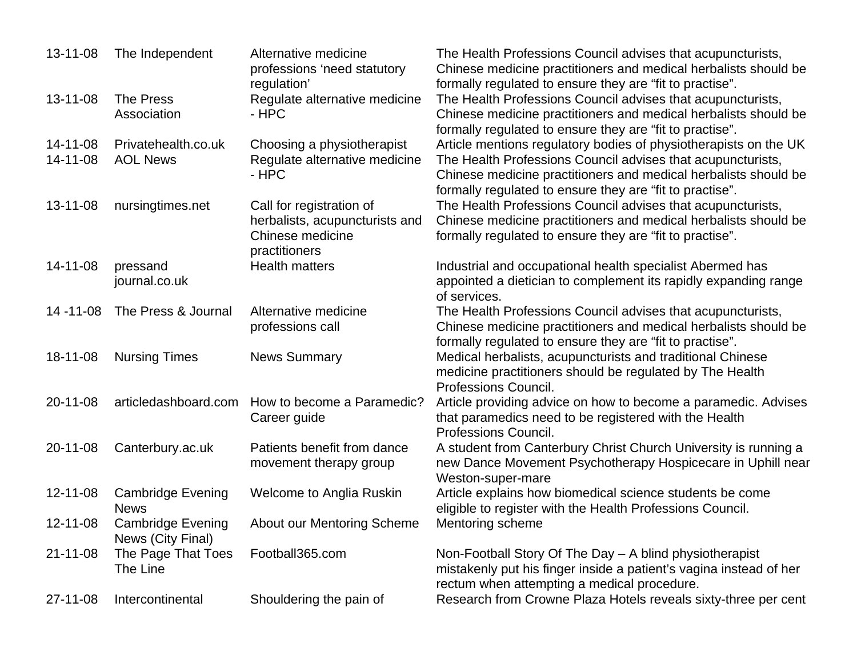| 13-11-08       | The Independent                         | Alternative medicine<br>professions 'need statutory | The Health Professions Council advises that acupuncturists,<br>Chinese medicine practitioners and medical herbalists should be |
|----------------|-----------------------------------------|-----------------------------------------------------|--------------------------------------------------------------------------------------------------------------------------------|
|                |                                         | regulation'                                         | formally regulated to ensure they are "fit to practise".                                                                       |
| 13-11-08       | <b>The Press</b>                        | Regulate alternative medicine                       | The Health Professions Council advises that acupuncturists,                                                                    |
|                | Association                             | - HPC                                               | Chinese medicine practitioners and medical herbalists should be                                                                |
|                |                                         |                                                     | formally regulated to ensure they are "fit to practise".                                                                       |
| 14-11-08       | Privatehealth.co.uk                     | Choosing a physiotherapist                          | Article mentions regulatory bodies of physiotherapists on the UK                                                               |
| $14 - 11 - 08$ | <b>AOL News</b>                         | Regulate alternative medicine<br>- HPC              | The Health Professions Council advises that acupuncturists,                                                                    |
|                |                                         |                                                     | Chinese medicine practitioners and medical herbalists should be<br>formally regulated to ensure they are "fit to practise".    |
| 13-11-08       | nursingtimes.net                        | Call for registration of                            | The Health Professions Council advises that acupuncturists,                                                                    |
|                |                                         | herbalists, acupuncturists and                      | Chinese medicine practitioners and medical herbalists should be                                                                |
|                |                                         | Chinese medicine                                    | formally regulated to ensure they are "fit to practise".                                                                       |
|                |                                         | practitioners                                       |                                                                                                                                |
| 14-11-08       | pressand                                | <b>Health matters</b>                               | Industrial and occupational health specialist Abermed has                                                                      |
|                | journal.co.uk                           |                                                     | appointed a dietician to complement its rapidly expanding range                                                                |
|                |                                         |                                                     | of services.                                                                                                                   |
| $14 - 11 - 08$ | The Press & Journal                     | Alternative medicine                                | The Health Professions Council advises that acupuncturists,                                                                    |
|                |                                         | professions call                                    | Chinese medicine practitioners and medical herbalists should be                                                                |
|                |                                         |                                                     | formally regulated to ensure they are "fit to practise".                                                                       |
| 18-11-08       | <b>Nursing Times</b>                    | <b>News Summary</b>                                 | Medical herbalists, acupuncturists and traditional Chinese                                                                     |
|                |                                         |                                                     | medicine practitioners should be regulated by The Health                                                                       |
|                |                                         |                                                     | Professions Council.                                                                                                           |
| 20-11-08       | articledashboard.com                    | How to become a Paramedic?                          | Article providing advice on how to become a paramedic. Advises                                                                 |
|                |                                         | Career guide                                        | that paramedics need to be registered with the Health                                                                          |
|                |                                         |                                                     | Professions Council.                                                                                                           |
| 20-11-08       | Canterbury.ac.uk                        | Patients benefit from dance                         | A student from Canterbury Christ Church University is running a                                                                |
|                |                                         | movement therapy group                              | new Dance Movement Psychotherapy Hospicecare in Uphill near                                                                    |
|                |                                         |                                                     | Weston-super-mare                                                                                                              |
| $12 - 11 - 08$ | <b>Cambridge Evening</b><br><b>News</b> | Welcome to Anglia Ruskin                            | Article explains how biomedical science students be come                                                                       |
| 12-11-08       | <b>Cambridge Evening</b>                | <b>About our Mentoring Scheme</b>                   | eligible to register with the Health Professions Council.<br>Mentoring scheme                                                  |
|                | News (City Final)                       |                                                     |                                                                                                                                |
| $21 - 11 - 08$ | The Page That Toes                      | Football365.com                                     | Non-Football Story Of The Day - A blind physiotherapist                                                                        |
|                | The Line                                |                                                     | mistakenly put his finger inside a patient's vagina instead of her                                                             |
|                |                                         |                                                     | rectum when attempting a medical procedure.                                                                                    |
| 27-11-08       | Intercontinental                        | Shouldering the pain of                             | Research from Crowne Plaza Hotels reveals sixty-three per cent                                                                 |
|                |                                         |                                                     |                                                                                                                                |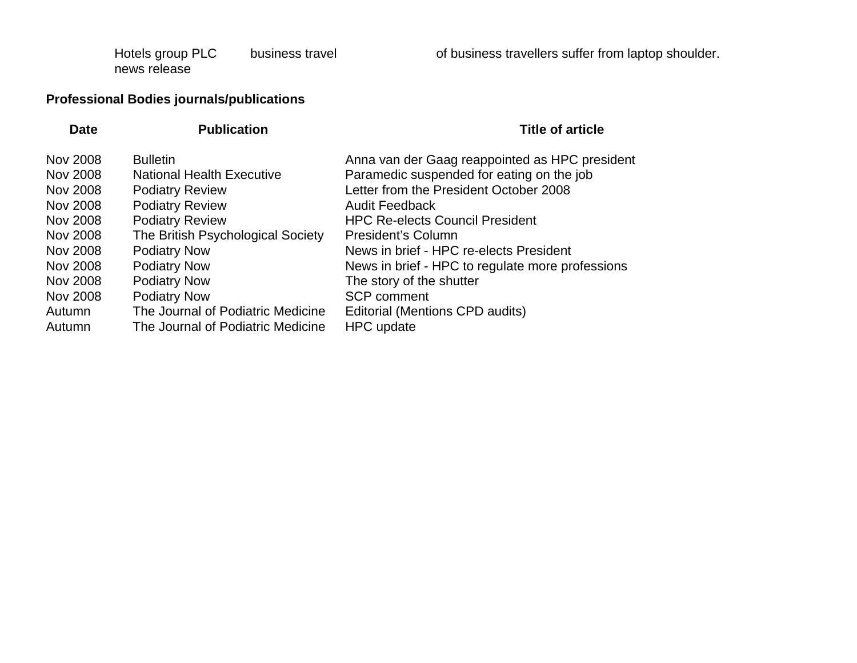Hotels group PLC news release

business travel of business travellers suffer from laptop shoulder.

## **Professional Bodies journals/publications**

| <b>Publication</b>                | <b>Title of article</b>                          |
|-----------------------------------|--------------------------------------------------|
| <b>Bulletin</b>                   | Anna van der Gaag reappointed as HPC president   |
| <b>National Health Executive</b>  | Paramedic suspended for eating on the job        |
| <b>Podiatry Review</b>            | Letter from the President October 2008           |
| <b>Podiatry Review</b>            | <b>Audit Feedback</b>                            |
| <b>Podiatry Review</b>            | <b>HPC Re-elects Council President</b>           |
| The British Psychological Society | President's Column                               |
| <b>Podiatry Now</b>               | News in brief - HPC re-elects President          |
| <b>Podiatry Now</b>               | News in brief - HPC to regulate more professions |
| <b>Podiatry Now</b>               | The story of the shutter                         |
| <b>Podiatry Now</b>               | <b>SCP</b> comment                               |
| The Journal of Podiatric Medicine | Editorial (Mentions CPD audits)                  |
| The Journal of Podiatric Medicine | <b>HPC</b> update                                |
|                                   |                                                  |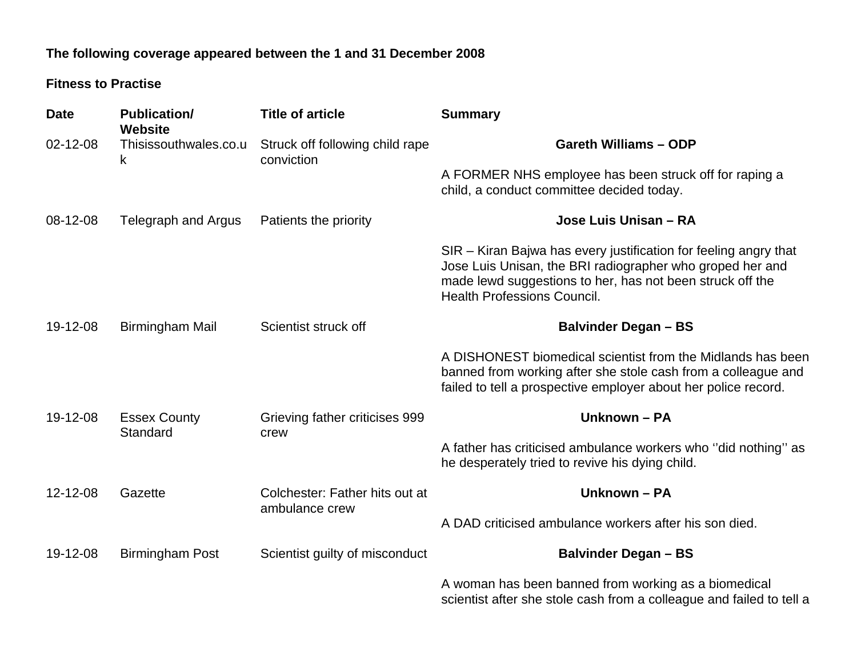## **The following coverage appeared between the 1 and 31 December 2008**

#### **Fitness to Practise**

| <b>Date</b> | <b>Publication/</b><br><b>Website</b> | <b>Title of article</b>                          | <b>Summary</b>                                                                                                                                                                                                                   |
|-------------|---------------------------------------|--------------------------------------------------|----------------------------------------------------------------------------------------------------------------------------------------------------------------------------------------------------------------------------------|
| 02-12-08    | Thisissouthwales.co.u<br>k            | Struck off following child rape<br>conviction    | <b>Gareth Williams - ODP</b>                                                                                                                                                                                                     |
|             |                                       |                                                  | A FORMER NHS employee has been struck off for raping a<br>child, a conduct committee decided today.                                                                                                                              |
| 08-12-08    | Telegraph and Argus                   | Patients the priority                            | Jose Luis Unisan - RA                                                                                                                                                                                                            |
|             |                                       |                                                  | SIR – Kiran Bajwa has every justification for feeling angry that<br>Jose Luis Unisan, the BRI radiographer who groped her and<br>made lewd suggestions to her, has not been struck off the<br><b>Health Professions Council.</b> |
| 19-12-08    | <b>Birmingham Mail</b>                | Scientist struck off                             | <b>Balvinder Degan - BS</b>                                                                                                                                                                                                      |
|             |                                       |                                                  | A DISHONEST biomedical scientist from the Midlands has been<br>banned from working after she stole cash from a colleague and<br>failed to tell a prospective employer about her police record.                                   |
| 19-12-08    | <b>Essex County</b><br>Standard       | Grieving father criticises 999<br>crew           | Unknown - PA                                                                                                                                                                                                                     |
|             |                                       |                                                  | A father has criticised ambulance workers who "did nothing" as<br>he desperately tried to revive his dying child.                                                                                                                |
| 12-12-08    | Gazette                               | Colchester: Father hits out at<br>ambulance crew | Unknown - PA                                                                                                                                                                                                                     |
|             |                                       |                                                  | A DAD criticised ambulance workers after his son died.                                                                                                                                                                           |
| 19-12-08    | <b>Birmingham Post</b>                | Scientist guilty of misconduct                   | <b>Balvinder Degan - BS</b>                                                                                                                                                                                                      |
|             |                                       |                                                  | A woman has been banned from working as a biomedical<br>scientist after she stole cash from a colleague and failed to tell a                                                                                                     |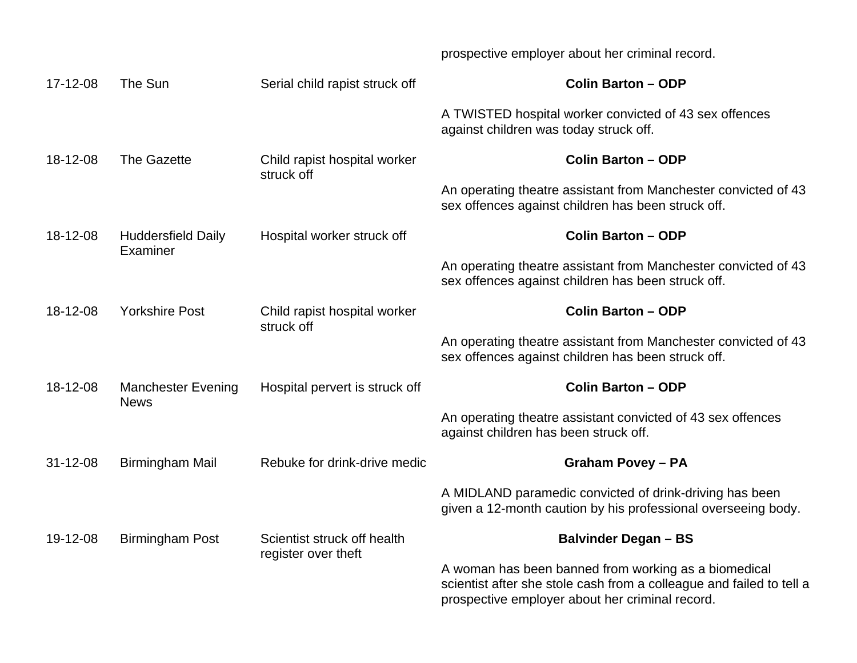prospective employer about her criminal record.

| 17-12-08       | The Sun                                  | Serial child rapist struck off             | <b>Colin Barton - ODP</b>                                                                                                                                                       |
|----------------|------------------------------------------|--------------------------------------------|---------------------------------------------------------------------------------------------------------------------------------------------------------------------------------|
|                |                                          |                                            | A TWISTED hospital worker convicted of 43 sex offences<br>against children was today struck off.                                                                                |
| 18-12-08       | <b>The Gazette</b>                       | Child rapist hospital worker<br>struck off | <b>Colin Barton - ODP</b>                                                                                                                                                       |
|                |                                          |                                            | An operating theatre assistant from Manchester convicted of 43<br>sex offences against children has been struck off.                                                            |
| 18-12-08       | <b>Huddersfield Daily</b><br>Examiner    | Hospital worker struck off                 | <b>Colin Barton - ODP</b>                                                                                                                                                       |
|                |                                          |                                            | An operating theatre assistant from Manchester convicted of 43<br>sex offences against children has been struck off.                                                            |
| 18-12-08       | <b>Yorkshire Post</b>                    | Child rapist hospital worker<br>struck off | <b>Colin Barton - ODP</b>                                                                                                                                                       |
|                |                                          |                                            | An operating theatre assistant from Manchester convicted of 43<br>sex offences against children has been struck off.                                                            |
| 18-12-08       | <b>Manchester Evening</b><br><b>News</b> | Hospital pervert is struck off             | <b>Colin Barton - ODP</b>                                                                                                                                                       |
|                |                                          |                                            | An operating theatre assistant convicted of 43 sex offences<br>against children has been struck off.                                                                            |
| $31 - 12 - 08$ | <b>Birmingham Mail</b>                   | Rebuke for drink-drive medic               | <b>Graham Povey - PA</b>                                                                                                                                                        |
|                |                                          |                                            | A MIDLAND paramedic convicted of drink-driving has been<br>given a 12-month caution by his professional overseeing body.                                                        |
| 19-12-08       | <b>Birmingham Post</b>                   | Scientist struck off health                | <b>Balvinder Degan - BS</b>                                                                                                                                                     |
|                |                                          | register over theft                        | A woman has been banned from working as a biomedical<br>scientist after she stole cash from a colleague and failed to tell a<br>prospective employer about her criminal record. |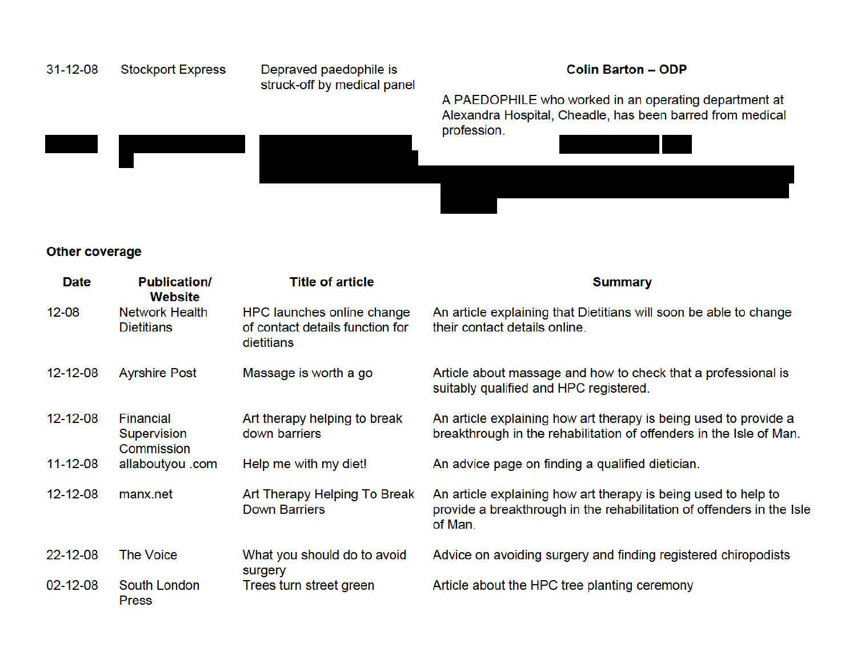

#### **Other coverage**

| <b>Date</b>    | <b>Publication/</b><br><b>Website</b>         | <b>Title of article</b>                                                     | <b>Summary</b>                                                                                                                                     |
|----------------|-----------------------------------------------|-----------------------------------------------------------------------------|----------------------------------------------------------------------------------------------------------------------------------------------------|
| $12 - 08$      | <b>Network Health</b><br><b>Dietitians</b>    | HPC launches online change<br>of contact details function for<br>dietitians | An article explaining that Dietitians will soon be able to change<br>their contact details online.                                                 |
| $12 - 12 - 08$ | <b>Ayrshire Post</b>                          | Massage is worth a go                                                       | Article about massage and how to check that a professional is<br>suitably qualified and HPC registered.                                            |
| $12 - 12 - 08$ | <b>Financial</b><br>Supervision<br>Commission | Art therapy helping to break<br>down barriers                               | An article explaining how art therapy is being used to provide a<br>breakthrough in the rehabilitation of offenders in the Isle of Man.            |
| $11 - 12 - 08$ | allaboutyou .com                              | Help me with my diet!                                                       | An advice page on finding a qualified dietician.                                                                                                   |
| $12 - 12 - 08$ | manx.net                                      | Art Therapy Helping To Break<br><b>Down Barriers</b>                        | An article explaining how art therapy is being used to help to<br>provide a breakthrough in the rehabilitation of offenders in the Isle<br>of Man. |
| 22-12-08       | The Voice                                     | What you should do to avoid<br>surgery                                      | Advice on avoiding surgery and finding registered chiropodists                                                                                     |
| $02 - 12 - 08$ | South London<br><b>Press</b>                  | Trees turn street green                                                     | Article about the HPC tree planting ceremony                                                                                                       |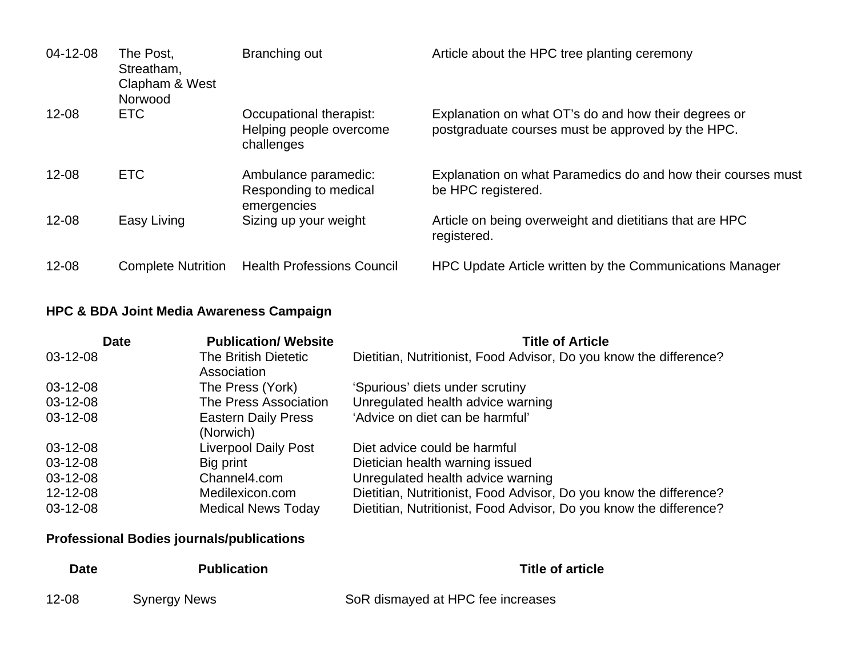| $04 - 12 - 08$ | The Post,<br>Streatham,<br>Clapham & West<br>Norwood | Branching out                                                    | Article about the HPC tree planting ceremony                                                              |
|----------------|------------------------------------------------------|------------------------------------------------------------------|-----------------------------------------------------------------------------------------------------------|
| $12 - 08$      | <b>ETC</b>                                           | Occupational therapist:<br>Helping people overcome<br>challenges | Explanation on what OT's do and how their degrees or<br>postgraduate courses must be approved by the HPC. |
| $12 - 08$      | <b>ETC</b>                                           | Ambulance paramedic:<br>Responding to medical<br>emergencies     | Explanation on what Paramedics do and how their courses must<br>be HPC registered.                        |
| $12 - 08$      | Easy Living                                          | Sizing up your weight                                            | Article on being overweight and dietitians that are HPC<br>registered.                                    |
| $12 - 08$      | <b>Complete Nutrition</b>                            | <b>Health Professions Council</b>                                | HPC Update Article written by the Communications Manager                                                  |

## **HPC & BDA Joint Media Awareness Campaign**

| <b>Date</b> | <b>Publication/ Website</b>             | <b>Title of Article</b>                                            |
|-------------|-----------------------------------------|--------------------------------------------------------------------|
| 03-12-08    | The British Dietetic<br>Association     | Dietitian, Nutritionist, Food Advisor, Do you know the difference? |
| $03-12-08$  | The Press (York)                        | 'Spurious' diets under scrutiny                                    |
| 03-12-08    | The Press Association                   | Unregulated health advice warning                                  |
| $03-12-08$  | <b>Eastern Daily Press</b><br>(Norwich) | 'Advice on diet can be harmful'                                    |
| $03-12-08$  | <b>Liverpool Daily Post</b>             | Diet advice could be harmful                                       |
| 03-12-08    | Big print                               | Dietician health warning issued                                    |
| 03-12-08    | Channel4.com                            | Unregulated health advice warning                                  |
| 12-12-08    | Medilexicon.com                         | Dietitian, Nutritionist, Food Advisor, Do you know the difference? |
| 03-12-08    | <b>Medical News Today</b>               | Dietitian, Nutritionist, Food Advisor, Do you know the difference? |

## **Professional Bodies journals/publications**

| Date  | <b>Publication</b>  | Title of article                  |
|-------|---------------------|-----------------------------------|
| 12-08 | <b>Synergy News</b> | SoR dismayed at HPC fee increases |